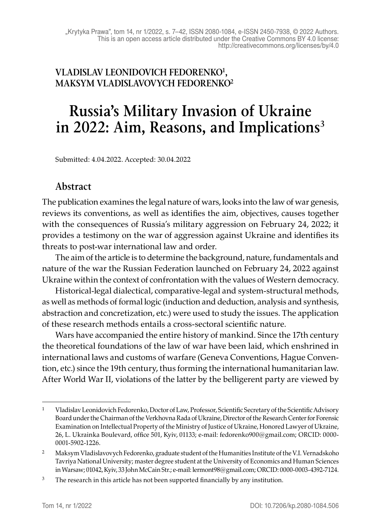### **VLADISLAV LEONIDOVICH FEDORENKO1, MAKSYM VLADISLAVOVYCH FEDORENKO2**

# **Russia's Military Invasion of Ukraine in 2022: Aim, Reasons, and Implications3**

Submitted: 4.04.2022. Accepted: 30.04.2022

#### **Abstract**

The publication examines the legal nature of wars, looks into the law of war genesis, reviews its conventions, as well as identifies the aim, objectives, causes together with the consequences of Russia's military aggression on February 24, 2022; it provides a testimony on the war of aggression against Ukraine and identifies its threats to post-war international law and order.

The aim of the article is to determine the background, nature, fundamentals and nature of the war the Russian Federation launched on February 24, 2022 against Ukraine within the context of confrontation with the values of Western democracy.

Historical-legal dialectical, comparative-legal and system-structural methods, as well as methods of formal logic (induction and deduction, analysis and synthesis, abstraction and concretization, etc.) were used to study the issues. The application of these research methods entails a cross-sectoral scientific nature.

Wars have accompanied the entire history of mankind. Since the 17th century the theoretical foundations of the law of war have been laid, which enshrined in international laws and customs of warfare (Geneva Conventions, Hague Convention, etc.) since the 19th century, thus forming the international humanitarian law. After World War II, violations of the latter by the belligerent party are viewed by

<sup>1</sup> Vladislav Leonidovich Fedorenko, Doctor of Law, Professor, Scientific Secretary of the Scientific Advisory Board under the Chairman of the Verkhovna Rada of Ukraine, Director of the Research Center for Forensic Examination on Intellectual Property of the Ministry of Justice of Ukraine, Honored Lawyer of Ukraine, 26, L. Ukrainka Boulevard, office 501, Kyiv, 01133; e-mail: fedorenko900@gmail.com; ORCID: 0000- 0001-5902-1226.

<sup>2</sup> Maksym Vladislavovych Fedorenko, graduate student of the Humanities Institute of the V.I. Vernadskoho Tavriya National University; master degree student at the University of Economics and Human Sciences in Warsaw; 01042, Kyiv, 33 John McCain Str.; e-mail: lermont98@gmail.com; ORCID: 0000-0003-4392-7124.

<sup>&</sup>lt;sup>3</sup> The research in this article has not been supported financially by any institution.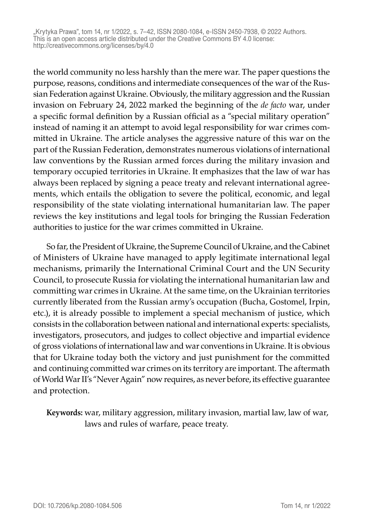the world community no less harshly than the mere war. The paper questions the purpose, reasons, conditions and intermediate consequences of the war of the Russian Federation against Ukraine. Obviously, the military aggression and the Russian invasion on February 24, 2022 marked the beginning of the *de facto* war, under a specific formal definition by a Russian official as a "special military operation" instead of naming it an attempt to avoid legal responsibility for war crimes committed in Ukraine. The article analyses the aggressive nature of this war on the part of the Russian Federation, demonstrates numerous violations of international law conventions by the Russian armed forces during the military invasion and temporary occupied territories in Ukraine. It emphasizes that the law of war has always been replaced by signing a peace treaty and relevant international agreements, which entails the obligation to severe the political, economic, and legal responsibility of the state violating international humanitarian law. The paper reviews the key institutions and legal tools for bringing the Russian Federation authorities to justice for the war crimes committed in Ukraine.

So far, the President of Ukraine, the Supreme Council of Ukraine, and the Cabinet of Ministers of Ukraine have managed to apply legitimate international legal mechanisms, primarily the International Criminal Court and the UN Security Council, to prosecute Russia for violating the international humanitarian law and committing war crimes in Ukraine. At the same time, on the Ukrainian territories currently liberated from the Russian army's occupation (Bucha, Gostomel, Irpin, etc.), it is already possible to implement a special mechanism of justice, which consists in the collaboration between national and international experts: specialists, investigators, prosecutors, and judges to collect objective and impartial evidence of gross violations of international law and war conventions in Ukraine. It is obvious that for Ukraine today both the victory and just punishment for the committed and continuing committed war crimes on its territory are important. The aftermath of World War II's "Never Again" now requires, as never before, its effective guarantee and protection.

**Keywords:** war, military aggression, military invasion, martial law, law of war, laws and rules of warfare, peace treaty.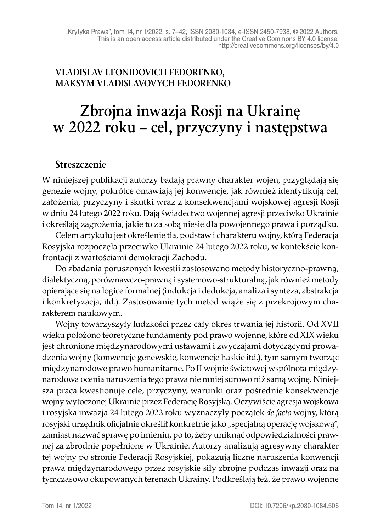#### **VLADISLAV LEONIDOVICH FEDORENKO, MAKSYM VLADISLAVOVYCH FEDORENKO**

# **Zbrojna inwazja Rosji na Ukrainę w 2022 roku – cel, przyczyny i następstwa**

#### **Streszczenie**

W niniejszej publikacji autorzy badają prawny charakter wojen, przyglądają się genezie wojny, pokrótce omawiają jej konwencje, jak również identyfikują cel, założenia, przyczyny i skutki wraz z konsekwencjami wojskowej agresji Rosji w dniu 24 lutego 2022 roku. Dają świadectwo wojennej agresji przeciwko Ukrainie i określają zagrożenia, jakie to za sobą niesie dla powojennego prawa i porządku.

Celem artykułu jest określenie tła, podstaw i charakteru wojny, którą Federacja Rosyjska rozpoczęła przeciwko Ukrainie 24 lutego 2022 roku, w kontekście konfrontacji z wartościami demokracji Zachodu.

Do zbadania poruszonych kwestii zastosowano metody historyczno-prawną, dialektyczną, porównawczo-prawną i systemowo-strukturalną, jak również metody opierające się na logice formalnej (indukcja i dedukcja, analiza i synteza, abstrakcja i konkretyzacja, itd.). Zastosowanie tych metod wiąże się z przekrojowym charakterem naukowym.

Wojny towarzyszyły ludzkości przez cały okres trwania jej historii. Od XVII wieku położono teoretyczne fundamenty pod prawo wojenne, które od XIX wieku jest chronione międzynarodowymi ustawami i zwyczajami dotyczącymi prowadzenia wojny (konwencje genewskie, konwencje haskie itd.), tym samym tworząc międzynarodowe prawo humanitarne. Po II wojnie światowej wspólnota międzynarodowa ocenia naruszenia tego prawa nie mniej surowo niż samą wojnę. Niniejsza praca kwestionuje cele, przyczyny, warunki oraz pośrednie konsekwencje wojny wytoczonej Ukrainie przez Federację Rosyjską. Oczywiście agresja wojskowa i rosyjska inwazja 24 lutego 2022 roku wyznaczyły początek *de facto* wojny, którą rosyjski urzędnik oficjalnie określił konkretnie jako "specjalną operację wojskową", zamiast nazwać sprawę po imieniu, po to, żeby uniknąć odpowiedzialności prawnej za zbrodnie popełnione w Ukrainie. Autorzy analizują agresywny charakter tej wojny po stronie Federacji Rosyjskiej, pokazują liczne naruszenia konwencji prawa międzynarodowego przez rosyjskie siły zbrojne podczas inwazji oraz na tymczasowo okupowanych terenach Ukrainy. Podkreślają też, że prawo wojenne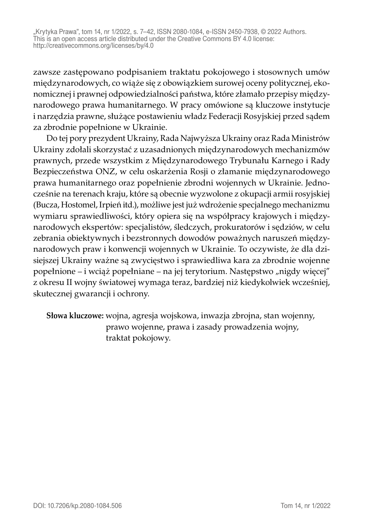"Krytyka Prawa", tom 14, nr 1/2022, s. 7–42, ISSN 2080-1084, e-ISSN 2450-7938, © 2022 Authors. This is an open access article distributed under the Creative Commons BY 4.0 license: http://creativecommons.org/licenses/by/4.0

zawsze zastępowano podpisaniem traktatu pokojowego i stosownych umów międzynarodowych, co wiąże się z obowiązkiem surowej oceny politycznej, ekonomicznej i prawnej odpowiedzialności państwa, które złamało przepisy międzynarodowego prawa humanitarnego. W pracy omówione są kluczowe instytucje i narzędzia prawne, służące postawieniu władz Federacji Rosyjskiej przed sądem za zbrodnie popełnione w Ukrainie.

Do tej pory prezydent Ukrainy, Rada Najwyższa Ukrainy oraz Rada Ministrów Ukrainy zdołali skorzystać z uzasadnionych międzynarodowych mechanizmów prawnych, przede wszystkim z Międzynarodowego Trybunału Karnego i Rady Bezpieczeństwa ONZ, w celu oskarżenia Rosji o złamanie międzynarodowego prawa humanitarnego oraz popełnienie zbrodni wojennych w Ukrainie. Jednocześnie na terenach kraju, które są obecnie wyzwolone z okupacji armii rosyjskiej (Bucza, Hostomel, Irpień itd.), możliwe jest już wdrożenie specjalnego mechanizmu wymiaru sprawiedliwości, który opiera się na współpracy krajowych i międzynarodowych ekspertów: specjalistów, śledczych, prokuratorów i sędziów, w celu zebrania obiektywnych i bezstronnych dowodów poważnych naruszeń międzynarodowych praw i konwencji wojennych w Ukrainie. To oczywiste, że dla dzisiejszej Ukrainy ważne są zwycięstwo i sprawiedliwa kara za zbrodnie wojenne popełnione – i wciąż popełniane – na jej terytorium. Następstwo "nigdy więcej" z okresu II wojny światowej wymaga teraz, bardziej niż kiedykolwiek wcześniej, skutecznej gwarancji i ochrony.

**Słowa kluczowe:** wojna, agresja wojskowa, inwazja zbrojna, stan wojenny, prawo wojenne, prawa i zasady prowadzenia wojny, traktat pokojowy.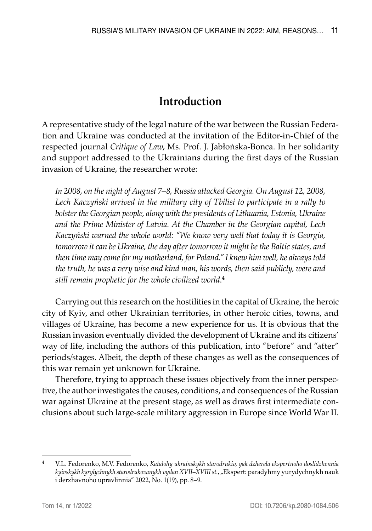# **Introduction**

A representative study of the legal nature of the war between the Russian Federation and Ukraine was conducted at the invitation of the Editor-in-Chief of the respected journal *Critique of Law*, Ms. Prof. J. Jabłońska-Bonca. In her solidarity and support addressed to the Ukrainians during the first days of the Russian invasion of Ukraine, the researcher wrote:

*In 2008, on the night of August 7–8, Russia attacked Georgia. On August 12, 2008, Lech Kaczyński arrived in the military city of Tbilisi to participate in a rally to bolster the Georgian people, along with the presidents of Lithuania, Estonia, Ukraine and the Prime Minister of Latvia. At the Chamber in the Georgian capital, Lech Kaczyński warned the whole world: "We know very well that today it is Georgia, tomorrow it can be Ukraine, the day after tomorrow it might be the Baltic states, and then time may come for my motherland, for Poland." I knew him well, he always told the truth, he was a very wise and kind man, his words, then said publicly, were and still remain prophetic for the whole civilized world*. 4

Carrying out this research on the hostilities in the capital of Ukraine, the heroic city of Kyiv, and other Ukrainian territories, in other heroic cities, towns, and villages of Ukraine, has become a new experience for us. It is obvious that the Russian invasion eventually divided the development of Ukraine and its citizens' way of life, including the authors of this publication, into "before" and "after" periods/stages. Albeit, the depth of these changes as well as the consequences of this war remain yet unknown for Ukraine.

Therefore, trying to approach these issues objectively from the inner perspective, the author investigates the causes, conditions, and consequences of the Russian war against Ukraine at the present stage, as well as draws first intermediate conclusions about such large-scale military aggression in Europe since World War II.

<sup>4</sup> V.L. Fedorenko, M.V. Fedorenko, *Katalohy ukrainskykh starodrukiv, yak dzherela ekspertnoho doslidzhennia kyivskykh kyrylychnykh starodrukovanykh vydan XVII–XVIII st.*, "Ekspert: paradyhmy yurydychnykh nauk i derzhavnoho upravlinnia" 2022, No. 1(19), pp. 8–9.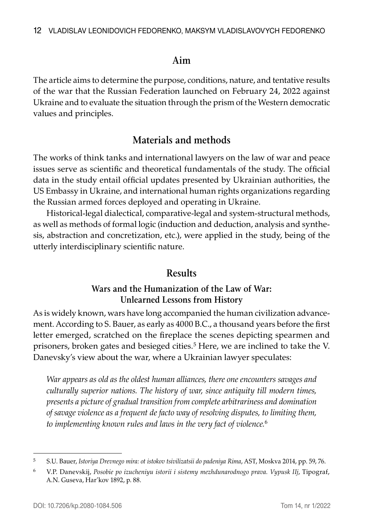#### **Aim**

The article aims to determine the purpose, conditions, nature, and tentative results of the war that the Russian Federation launched on February 24, 2022 against Ukraine and to evaluate the situation through the prism of the Western democratic values and principles.

## **Materials and methods**

The works of think tanks and international lawyers on the law of war and peace issues serve as scientific and theoretical fundamentals of the study. The official data in the study entail official updates presented by Ukrainian authorities, the US Embassy in Ukraine, and international human rights organizations regarding the Russian armed forces deployed and operating in Ukraine.

Historical-legal dialectical, comparative-legal and system-structural methods, as well as methods of formal logic (induction and deduction, analysis and synthesis, abstraction and concretization, etc.), were applied in the study, being of the utterly interdisciplinary scientific nature.

### **Results**

#### **Wars and the Humanization of the Law of War: Unlearned Lessons from History**

As is widely known, wars have long accompanied the human civilization advancement. According to S. Bauer, as early as 4000 B.C., a thousand years before the first letter emerged, scratched on the fireplace the scenes depicting spearmen and prisoners, broken gates and besieged cities.<sup>5</sup> Here, we are inclined to take the V. Danevsky's view about the war, where a Ukrainian lawyer speculates:

*War appears as old as the oldest human alliances, there one encounters savages and culturally superior nations. The history of war, since antiquity till modern times, presents a picture of gradual transition from complete arbitrariness and domination of savage violence as a frequent de facto way of resolving disputes, to limiting them, to implementing known rules and laws in the very fact of violence.*<sup>6</sup>

<sup>5</sup> S.U. Bauer, *Istoriya Drevnego mira: ot istokov tsivilizatsii do padeniya Rima*, AST, Moskva 2014, pp. 59, 76.

<sup>6</sup> V.P. Danevskij, *Posobie po izucheniyu istorii i sistemy mezhdunarodnogo prava. Vypusk IIj*, Tipograf, A.N. Guseva, Har'kov 1892, p. 88.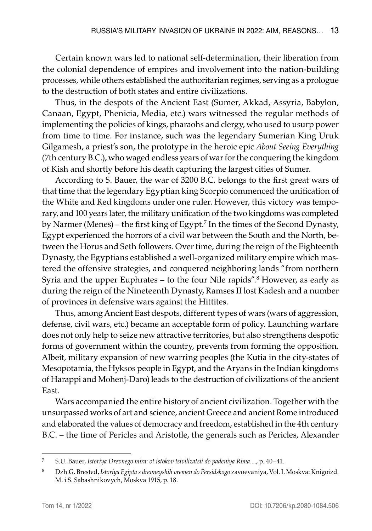Certain known wars led to national self-determination, their liberation from the colonial dependence of empires and involvement into the nation-building processes, while others established the authoritarian regimes, serving as a prologue to the destruction of both states and entire civilizations.

Thus, in the despots of the Ancient East (Sumer, Akkad, Assyria, Babylon, Canaan, Egypt, Phenicia, Media, etc.) wars witnessed the regular methods of implementing the policies of kings, pharaohs and clergy, who used to usurp power from time to time. For instance, such was the legendary Sumerian King Uruk Gilgamesh, a priest's son, the prototype in the heroic epic *About Seeing Everything* (7th century B.C.), who waged endless years of war for the conquering the kingdom of Kish and shortly before his death capturing the largest cities of Sumer.

According to S. Bauer, the war of 3200 B.C. belongs to the first great wars of that time that the legendary Egyptian king Scorpio commenced the unification of the White and Red kingdoms under one ruler. However, this victory was temporary, and 100 years later, the military unification of the two kingdoms was completed by Narmer (Menes) – the first king of Egypt.7 In the times of the Second Dynasty, Egypt experienced the horrors of a civil war between the South and the North, between the Horus and Seth followers. Over time, during the reign of the Eighteenth Dynasty, the Egyptians established a well-organized military empire which mastered the offensive strategies, and conquered neighboring lands "from northern Syria and the upper Euphrates – to the four Nile rapids".<sup>8</sup> However, as early as during the reign of the Nineteenth Dynasty, Ramses II lost Kadesh and a number of provinces in defensive wars against the Hittites.

Thus, among Ancient East despots, different types of wars (wars of aggression, defense, civil wars, etc.) became an acceptable form of policy. Launching warfare does not only help to seize new attractive territories, but also strengthens despotic forms of government within the country, prevents from forming the opposition. Albeit, military expansion of new warring peoples (the Kutia in the city-states of Mesopotamia, the Hyksos people in Egypt, and the Aryans in the Indian kingdoms of Harappi and Mohenj-Daro) leads to the destruction of civilizations of the ancient East.

Wars accompanied the entire history of ancient civilization. Together with the unsurpassed works of art and science, ancient Greece and ancient Rome introduced and elaborated the values of democracy and freedom, established in the 4th century B.C. – the time of Pericles and Aristotle, the generals such as Pericles, Alexander

<sup>7</sup> S.U. Bauer, *Istoriya Drevnego mira: ot istokov tsivilizatsii do padeniya Rima*...., p. 40–41.

<sup>8</sup> Dzh.G. Brested, *Istoriya Egipta s drevneyshih vremen do Persidskogo* zavoevaniya, Vol. I. Moskva: Knigoizd. M. i S. Sabashnikovych, Moskva 1915, p. 18.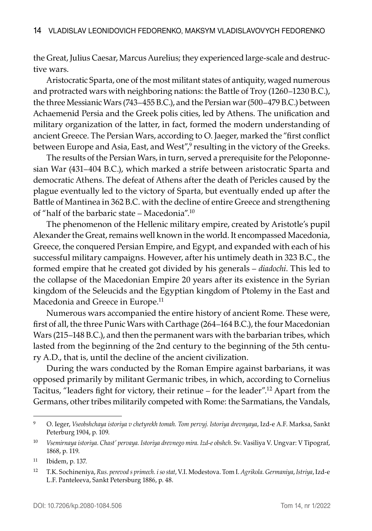the Great, Julius Caesar, Marcus Aurelius; they experienced large-scale and destructive wars.

Aristocratic Sparta, one of the most militant states of antiquity, waged numerous and protracted wars with neighboring nations: the Battle of Troy (1260–1230 B.C.), the three Messianic Wars (743–455 B.C.), and the Persian war (500–479 B.C.) between Achaemenid Persia and the Greek polis cities, led by Athens. The unification and military organization of the latter, in fact, formed the modern understanding of ancient Greece. The Persian Wars, according to O. Jaeger, marked the "first conflict between Europe and Asia, East, and West″,<sup>9</sup> resulting in the victory of the Greeks.

The results of the Persian Wars, in turn, served a prerequisite for the Peloponnesian War (431–404 B.C.), which marked a strife between aristocratic Sparta and democratic Athens. The defeat of Athens after the death of Pericles caused by the plague eventually led to the victory of Sparta, but eventually ended up after the Battle of Mantinea in 362 B.C. with the decline of entire Greece and strengthening of "half of the barbaric state – Macedonia".10

The phenomenon of the Hellenic military empire, created by Aristotle's pupil Alexander the Great, remains well known in the world. It encompassed Macedonia, Greece, the conquered Persian Empire, and Egypt, and expanded with each of his successful military campaigns. However, after his untimely death in 323 B.C., the formed empire that he created got divided by his generals – *diadochi*. This led to the collapse of the Macedonian Empire 20 years after its existence in the Syrian kingdom of the Seleucids and the Egyptian kingdom of Ptolemy in the East and Macedonia and Greece in Europe.11

Numerous wars accompanied the entire history of ancient Rome. These were, first of all, the three Punic Wars with Carthage (264–164 B.C.), the four Macedonian Wars (215–148 B.C.), and then the permanent wars with the barbarian tribes, which lasted from the beginning of the 2nd century to the beginning of the 5th century A.D., that is, until the decline of the ancient civilization.

During the wars conducted by the Roman Empire against barbarians, it was opposed primarily by militant Germanic tribes, in which, according to Cornelius Tacitus, "leaders fight for victory, their retinue – for the leader".12 Apart from the Germans, other tribes militarily competed with Rome: the Sarmatians, the Vandals,

<sup>9</sup> O. Ieger, *Vseobshchaya istoriya v chetyrekh tomah. Tom pervyj. Istoriya drevnyaya*, Izd-e A.F. Marksa, Sankt Peterburg 1904, p. 109.

<sup>10</sup> *Vsemirnaya istoriya. Chast' pervaya. Istoriya drevnego mira. Izd-e obshch*. Sv. Vasiliya V. Ungvar: V Tipograf, 1868, p. 119.

<sup>11</sup> Ibidem, p. 137.

<sup>12</sup> T.K. Sochineniya, *Rus. perevod s primech. i so stat*, V.I. Modestova. Tom I. *Agrikola. Germaniya*, *Istriya*, Izd-e L.F. Panteleeva, Sankt Petersburg 1886, p. 48.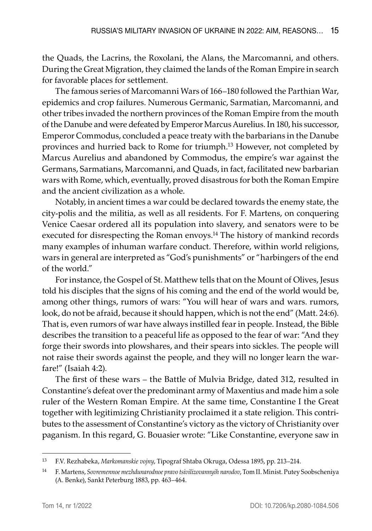the Quads, the Lacrins, the Roxolani, the Alans, the Marcomanni, and others. During the Great Migration, they claimed the lands of the Roman Empire in search for favorable places for settlement.

The famous series of Marcomanni Wars of 166–180 followed the Parthian War, epidemics and crop failures. Numerous Germanic, Sarmatian, Marcomanni, and other tribes invaded the northern provinces of the Roman Empire from the mouth of the Danube and were defeated by Emperor Marcus Aurelius. In 180, his successor, Emperor Commodus, concluded a peace treaty with the barbarians in the Danube provinces and hurried back to Rome for triumph.<sup>13</sup> However, not completed by Marcus Aurelius and abandoned by Commodus, the empire's war against the Germans, Sarmatians, Marcomanni, and Quads, in fact, facilitated new barbarian wars with Rome, which, eventually, proved disastrous for both the Roman Empire and the ancient civilization as a whole.

Notably, in ancient times a war could be declared towards the enemy state, the city-polis and the militia, as well as all residents. For F. Martens, on conquering Venice Caesar ordered all its population into slavery, and senators were to be executed for disrespecting the Roman envoys.<sup>14</sup> The history of mankind records many examples of inhuman warfare conduct. Therefore, within world religions, wars in general are interpreted as "God's punishments" or "harbingers of the end of the world."

For instance, the Gospel of St. Matthew tells that on the Mount of Olives, Jesus told his disciples that the signs of his coming and the end of the world would be, among other things, rumors of wars: "You will hear of wars and wars. rumors, look, do not be afraid, because it should happen, which is not the end" (Matt. 24:6). That is, even rumors of war have always instilled fear in people. Instead, the Bible describes the transition to a peaceful life as opposed to the fear of war: "And they forge their swords into plowshares, and their spears into sickles. The people will not raise their swords against the people, and they will no longer learn the warfare!" (Isaiah 4:2).

The first of these wars – the Battle of Mulvia Bridge, dated 312, resulted in Constantine's defeat over the predominant army of Maxentius and made him a sole ruler of the Western Roman Empire. At the same time, Constantine I the Great together with legitimizing Christianity proclaimed it a state religion. This contributes to the assessment of Constantine's victory as the victory of Christianity over paganism. In this regard, G. Bouasier wrote: "Like Constantine, everyone saw in

<sup>13</sup> F.V. Rezhabeka, *Markomanskie vojny*, Tipograf Shtaba Okruga, Odessa 1895, pp. 213–214.

<sup>14</sup> F. Martens, *Sovremennoe mezhdunarodnoe pravo tsivilizovannyih narodov*, Tom II. Minist. Putey Soobscheniya (A. Benke), Sankt Peterburg 1883, pp. 463–464.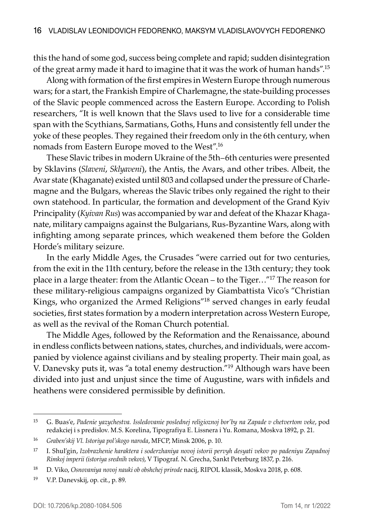this the hand of some god, success being complete and rapid; sudden disintegration of the great army made it hard to imagine that it was the work of human hands".15

Along with formation of the first empires in Western Europe through numerous wars; for a start, the Frankish Empire of Charlemagne, the state-building processes of the Slavic people commenced across the Eastern Europe. According to Polish researchers, "It is well known that the Slavs used to live for a considerable time span with the Scythians, Sarmatians, Goths, Huns and consistently fell under the yoke of these peoples. They regained their freedom only in the 6th century, when nomads from Eastern Europe moved to the West".16

These Slavic tribes in modern Ukraine of the 5th–6th centuries were presented by Sklavins (*Slaveni*, *Sklyaveni*), the Antis, the Avars, and other tribes. Albeit, the Avar state (Khaganate) existed until 803 and collapsed under the pressure of Charlemagne and the Bulgars, whereas the Slavic tribes only regained the right to their own statehood. In particular, the formation and development of the Grand Kyiv Principality (*Kyivan Rus*) was accompanied by war and defeat of the Khazar Khaganate, military campaigns against the Bulgarians, Rus-Byzantine Wars, along with infighting among separate princes, which weakened them before the Golden Horde's military seizure.

In the early Middle Ages, the Crusades "were carried out for two centuries, from the exit in the 11th century, before the release in the 13th century; they took place in a large theater: from the Atlantic Ocean – to the Tiger…"17 The reason for these military-religious campaigns organized by Giambattista Vico's "Christian Kings, who organized the Armed Religions"18 served changes in early feudal societies, first states formation by a modern interpretation across Western Europe, as well as the revival of the Roman Church potential.

The Middle Ages, followed by the Reformation and the Renaissance, abound in endless conflicts between nations, states, churches, and individuals, were accompanied by violence against civilians and by stealing property. Their main goal, as V. Danevsky puts it, was "a total enemy destruction."19 Although wars have been divided into just and unjust since the time of Augustine, wars with infidels and heathens were considered permissible by definition.

<sup>15</sup> G. Buas'e, *Padenie yazychestva. Issledovanie poslednej religioznoj bor'by na Zapade v chetvertom veke*, pod redakciej i s predislov. M.S. Korelina, Tipografiya E. Lissnera i Yu. Romana, Moskva 1892, p. 21.

<sup>16</sup> *Graben'skij Vl. Istoriya pol'skogo naroda*, MFCP, Minsk 2006, p. 10.

<sup>17</sup> I. Shul'gin, *Izobrazhenie haraktera i soderzhaniya novoj istorii pervyh desyati vekov po padeniyu Zapadnoj Rimkoj imperii (istoriya srednih vekov)*, V Tipograf. N. Grecha, Sankt Peterburg 1837, p. 216.

<sup>18</sup> D. Viko, *Osnovaniya novoj nauki ob obshchej prirode* nacij, RIPOL klassik, Moskva 2018, p. 608.

<sup>19</sup> V.P. Danevskij, op. cit., p. 89.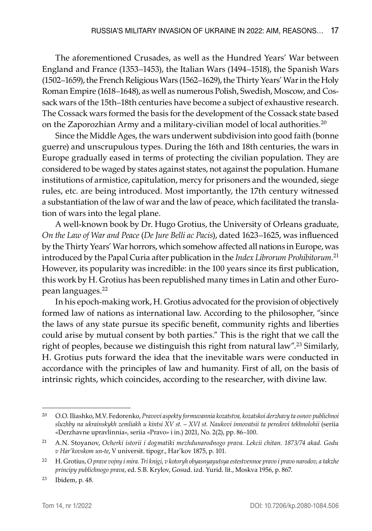The aforementioned Crusades, as well as the Hundred Years' War between England and France (1353–1453), the Italian Wars (1494–1518), the Spanish Wars (1502–1659), the French Religious Wars (1562–1629), the Thirty Years' War in the Holy Roman Empire (1618–1648), as well as numerous Polish, Swedish, Moscow, and Cossack wars of the 15th–18th centuries have become a subject of exhaustive research. The Cossack wars formed the basis for the development of the Cossack state based on the Zaporozhian Army and a military-civilian model of local authorities.<sup>20</sup>

Since the Middle Ages, the wars underwent subdivision into good faith (bonne guerre) and unscrupulous types. During the 16th and 18th centuries, the wars in Europe gradually eased in terms of protecting the civilian population. They are considered to be waged by states against states, not against the population. Humane institutions of armistice, capitulation, mercy for prisoners and the wounded, siege rules, etc. are being introduced. Most importantly, the 17th century witnessed a substantiation of the law of war and the law of peace, which facilitated the translation of wars into the legal plane.

A well-known book by Dr. Hugo Grotius, the University of Orleans graduate, *On the Law of War and Peace* (*De Jure Belli ac Pacis*), dated 1623–1625, was influenced by the Thirty Years' War horrors, which somehow affected all nations in Europe, was introduced by the Papal Curia after publication in the *Index Librorum Prohibitorum*. 21 However, its popularity was incredible: in the 100 years since its first publication, this work by H. Grotius has been republished many times in Latin and other European languages.22

In his epoch-making work, H. Grotius advocated for the provision of objectively formed law of nations as international law. According to the philosopher, "since the laws of any state pursue its specific benefit, community rights and liberties could arise by mutual consent by both parties." This is the right that we call the right of peoples, because we distinguish this right from natural law".<sup>23</sup> Similarly, H. Grotius puts forward the idea that the inevitable wars were conducted in accordance with the principles of law and humanity. First of all, on the basis of intrinsic rights, which coincides, according to the researcher, with divine law.

<sup>20</sup> O.O. Iliashko, M.V. Fedorenko, *Pravovi aspekty formuvannia kozatstva, kozatskoi derzhavy ta osnov publichnoi sluzhby na ukrainskykh zemliakh u kintsi XV st. – XVI st. Naukovi innovatsii ta peredovi tekhnolohii* (seriia «Derzhavne upravlinnia», seriia «Pravo» i in.) 2021, No. 2(2), pp. 86–100.

<sup>21</sup> A.N. Stoyanov, *Ocherki istorii i dogmatiki mezhdunarodnogo prava. Lekcii chitan. 1873/74 akad. Godu v Har'kovskom un-te*, V universit. tipogr., Har'kov 1875, p. 101.

<sup>22</sup> H. Grotius, *O prave vojny i mira. Tri knigi, v kotoryh obyasnyayutsya estestvennoe pravo i pravo narodov, a takzhe principy publichnogo prava*, ed. S.B. Krylov, Gosud. izd. Yurid. lit., Moskva 1956, p. 867.

<sup>23</sup> Ibidem, p. 48.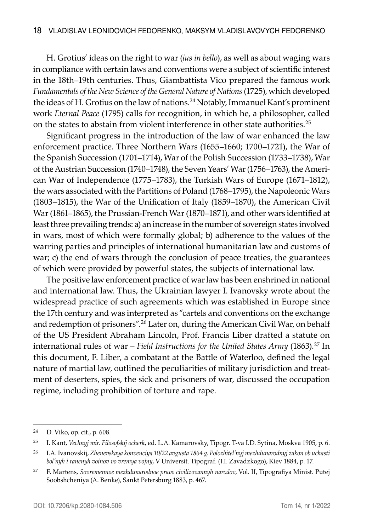H. Grotius' ideas on the right to war (*ius in bello*), as well as about waging wars in compliance with certain laws and conventions were a subject of scientific interest in the 18th–19th centuries. Thus, Giambattista Vico prepared the famous work *Fundamentals of the New Science of the General Nature of Nations* (1725), which developed the ideas of H. Grotius on the law of nations.24 Notably, Immanuel Kant's prominent work *Eternal Peace* (1795) calls for recognition, in which he, a philosopher, called on the states to abstain from violent interference in other state authorities.<sup>25</sup>

Significant progress in the introduction of the law of war enhanced the law enforcement practice. Three Northern Wars (1655–1660; 1700–1721), the War of the Spanish Succession (1701–1714), War of the Polish Succession (1733–1738), War of the Austrian Succession (1740–1748), the Seven Years' War (1756–1763), the American War of Independence (1775–1783), the Turkish Wars of Europe (1671–1812), the wars associated with the Partitions of Poland (1768–1795), the Napoleonic Wars (1803–1815), the War of the Unification of Italy (1859–1870), the American Civil War (1861–1865), the Prussian-French War (1870–1871), and other wars identified at least three prevailing trends: a) an increase in the number of sovereign states involved in wars, most of which were formally global; b) adherence to the values of the warring parties and principles of international humanitarian law and customs of war; c) the end of wars through the conclusion of peace treaties, the guarantees of which were provided by powerful states, the subjects of international law.

The positive law enforcement practice of war law has been enshrined in national and international law. Thus, the Ukrainian lawyer I. Ivanovsky wrote about the widespread practice of such agreements which was established in Europe since the 17th century and was interpreted as "cartels and conventions on the exchange and redemption of prisoners".<sup>26</sup> Later on, during the American Civil War, on behalf of the US President Abraham Lincoln, Prof. Francis Liber drafted a statute on international rules of war – *Field Instructions for the United States Army* (1863).27 In this document, F. Liber, a combatant at the Battle of Waterloo, defined the legal nature of martial law, outlined the peculiarities of military jurisdiction and treatment of deserters, spies, the sick and prisoners of war, discussed the occupation regime, including prohibition of torture and rape.

<sup>24</sup> D. Viko, op. cit., p. 608.

<sup>25</sup> I. Kant, *Vechnyj mir. Filosofskij ocherk*, ed. L.A. Kamarovsky, Tipogr. T-va I.D. Sytina, Moskva 1905, p. 6.

<sup>26</sup> I.A. Ivanovskij, *Zhenevskaya konvenciya 10/22 avgusta 1864 g. Polozhitel'nyj mezhdunarodnyj zakon ob uchasti bol'nyh i ranenyh voinov vo vremya vojny*, V Universit. Tipograf. (І.І. Zavadzkogo), Kiev 1884, p. 17.

<sup>27</sup> F. Martens*, Sovremennoe mezhdunarodnoe pravo civilizovannyh narodov*, Vol. II, Tipografiya Minist. Putej Soobshcheniya (A. Benke), Sankt Petersburg 1883, p. 467.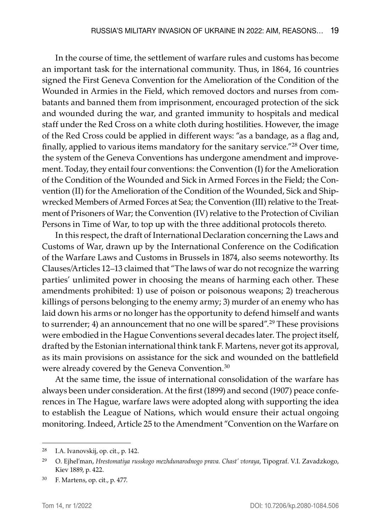In the course of time, the settlement of warfare rules and customs has become an important task for the international community. Thus, in 1864, 16 countries signed the First Geneva Convention for the Amelioration of the Condition of the Wounded in Armies in the Field, which removed doctors and nurses from combatants and banned them from imprisonment, encouraged protection of the sick and wounded during the war, and granted immunity to hospitals and medical staff under the Red Cross on a white cloth during hostilities. However, the image of the Red Cross could be applied in different ways: "as a bandage, as a flag and, finally, applied to various items mandatory for the sanitary service."28 Over time, the system of the Geneva Conventions has undergone amendment and improvement. Today, they entail four conventions: the Convention (I) for the Amelioration of the Condition of the Wounded and Sick in Armed Forces in the Field; the Convention (II) for the Amelioration of the Condition of the Wounded, Sick and Shipwrecked Members of Armed Forces at Sea; the Convention (III) relative to the Treatment of Prisoners of War; the Convention (IV) relative to the Protection of Civilian Persons in Time of War, to top up with the three additional protocols thereto.

In this respect, the draft of International Declaration concerning the Laws and Customs of War, drawn up by the International Conference on the Codification of the Warfare Laws and Customs in Brussels in 1874, also seems noteworthy. Its Clauses/Articles 12–13 claimed that "The laws of war do not recognize the warring parties' unlimited power in choosing the means of harming each other. These amendments prohibited: 1) use of poison or poisonous weapons; 2) treacherous killings of persons belonging to the enemy army; 3) murder of an enemy who has laid down his arms or no longer has the opportunity to defend himself and wants to surrender; 4) an announcement that no one will be spared".<sup>29</sup> These provisions were embodied in the Hague Conventions several decades later. The project itself, drafted by the Estonian international think tank F. Martens, never got its approval, as its main provisions on assistance for the sick and wounded on the battlefield were already covered by the Geneva Convention.<sup>30</sup>

At the same time, the issue of international consolidation of the warfare has always been under consideration. At the first (1899) and second (1907) peace conferences in The Hague, warfare laws were adopted along with supporting the idea to establish the League of Nations, which would ensure their actual ongoing monitoring. Indeed, Article 25 to the Amendment "Convention on the Warfare on

<sup>28</sup> I.A. Ivanovskij, op. cit., p. 142.

<sup>29</sup> O. Ejhel'man, *Hrestomatiya russkogo mezhdunarodnogo prava. Chast' vtoraya*, Tipograf. V.I. Zavadzkogo, Kiev 1889, p. 422.

<sup>30</sup> F. Martens, op. cit., p. 477.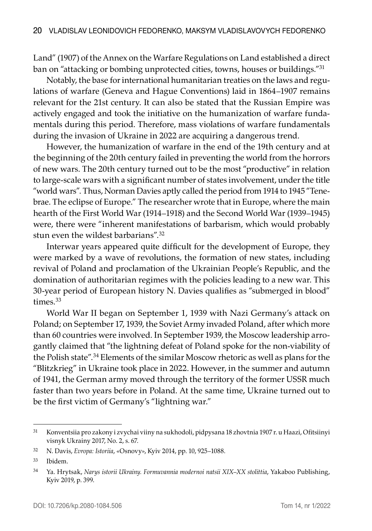Land" (1907) of the Annex on the Warfare Regulations on Land established a direct ban on "attacking or bombing unprotected cities, towns, houses or buildings."<sup>31</sup>

Notably, the base for international humanitarian treaties on the laws and regulations of warfare (Geneva and Hague Conventions) laid in 1864–1907 remains relevant for the 21st century. It can also be stated that the Russian Empire was actively engaged and took the initiative on the humanization of warfare fundamentals during this period. Therefore, mass violations of warfare fundamentals during the invasion of Ukraine in 2022 are acquiring a dangerous trend.

However, the humanization of warfare in the end of the 19th century and at the beginning of the 20th century failed in preventing the world from the horrors of new wars. The 20th century turned out to be the most "productive" in relation to large-scale wars with a significant number of states involvement, under the title "world wars". Thus, Norman Davies aptly called the period from 1914 to 1945 "Tenebrae. The eclipse of Europe." The researcher wrote that in Europe, where the main hearth of the First World War (1914–1918) and the Second World War (1939–1945) were, there were "inherent manifestations of barbarism, which would probably stun even the wildest barbarians".<sup>32</sup>

Interwar years appeared quite difficult for the development of Europe, they were marked by a wave of revolutions, the formation of new states, including revival of Poland and proclamation of the Ukrainian People's Republic, and the domination of authoritarian regimes with the policies leading to a new war. This 30-year period of European history N. Davies qualifies as "submerged in blood" times.33

World War II began on September 1, 1939 with Nazi Germany's attack on Poland; on September 17, 1939, the Soviet Army invaded Poland, after which more than 60 countries were involved. In September 1939, the Moscow leadership arrogantly claimed that "the lightning defeat of Poland spoke for the non-viability of the Polish state".<sup>34</sup> Elements of the similar Moscow rhetoric as well as plans for the "Blitzkrieg" in Ukraine took place in 2022. However, in the summer and autumn of 1941, the German army moved through the territory of the former USSR much faster than two years before in Poland. At the same time, Ukraine turned out to be the first victim of Germany's "lightning war."

<sup>31</sup> Konventsiia pro zakony i zvychai viiny na sukhodoli, pidpysana 18 zhovtnia 1907 r. u Haazi, Ofitsiinyi visnyk Ukrainy 2017, No. 2, s. 67.

<sup>32</sup> N. Davis, *Evropa: Istoriia*, «Osnovy», Kyiv 2014, pp. 10, 925–1088.

<sup>33</sup> Ibidem.

<sup>34</sup> Ya. Hrytsak, *Narys istorii Ukrainy. Formuvannia modernoi natsii XIX–XX stolittia*, Yakaboo Publishing, Kyiv 2019, p. 399.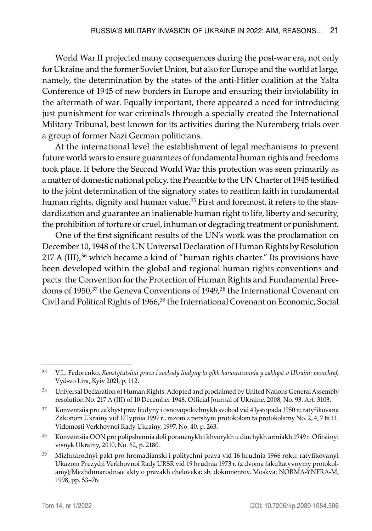World War II projected many consequences during the post-war era, not only for Ukraine and the former Soviet Union, but also for Europe and the world at large, namely, the determination by the states of the anti-Hitler coalition at the Yalta Conference of 1945 of new borders in Europe and ensuring their inviolability in the aftermath of war. Equally important, there appeared a need for introducing just punishment for war criminals through a specially created the International Military Tribunal, best known for its activities during the Nuremberg trials over a group of former Nazi German politicians.

At the international level the establishment of legal mechanisms to prevent future world wars to ensure guarantees of fundamental human rights and freedoms took place. If before the Second World War this protection was seen primarily as a matter of domestic national policy, the Preamble to the UN Charter of 1945 testified to the joint determination of the signatory states to reaffirm faith in fundamental human rights, dignity and human value.<sup>35</sup> First and foremost, it refers to the standardization and guarantee an inalienable human right to life, liberty and security, the prohibition of torture or cruel, inhuman or degrading treatment or punishment.

One of the first significant results of the UN's work was the proclamation on December 10, 1948 of the UN Universal Declaration of Human Rights by Resolution  $217$  A (III),<sup>36</sup> which became a kind of "human rights charter." Its provisions have been developed within the global and regional human rights conventions and pacts: the Convention for the Protection of Human Rights and Fundamental Freedoms of 1950,<sup>37</sup> the Geneva Conventions of 1949,<sup>38</sup> the International Covenant on Civil and Political Rights of 1966,<sup>39</sup> the International Covenant on Economic, Social

<sup>35</sup> V.L. Fedorenko, *Konstytutsiini prava i svobody liudyny ta yikh harantuvannia y zakhyst v Ukraini: monohraf*, Vyd-vo Lira, Kyiv 202l, p. 112.

<sup>&</sup>lt;sup>36</sup> Universal Declaration of Human Rights: Adopted and proclaimed by United Nations General Assembly resolution No. 217 A (III) of 10 December 1948, Official Journal of Ukraine, 2008, No. 93. Art. 3103.

<sup>37</sup> Konventsiia pro zakhyst prav liudyny i osnovopolozhnykh svobod vid 4 lystopada 1950 r.: ratyfikovana Zakonom Ukrainy vid 17 lypnia 1997 r., razom z pershym protokolom ta protokolamy No. 2, 4, 7 ta 11. Vidomosti Verkhovnoi Rady Ukrainy, 1997, No. 40, p. 263.

<sup>38</sup> Konventsiia OON pro polipshennia doli poranenykh i khvorykh u diuchykh armiakh 1949 r. Ofitsiinyi visnyk Ukrainy, 2010, No. 62, p. 2180.

<sup>39</sup> Mizhnarodnyi pakt pro hromadianski i politychni prava vid 16 hrudnia 1966 roku: ratyfikovanyi Ukazom Prezydii Verkhovnoi Rady URSR vid 19 hrudnia 1973 r. (z dvoma fakultatyvnymy protokolamy)/Mezhdunarodnыe akty o pravakh cheloveka: sb. dokumentov. Moskva: NORMA-YNFRA-M, 1998, pp. 53–76.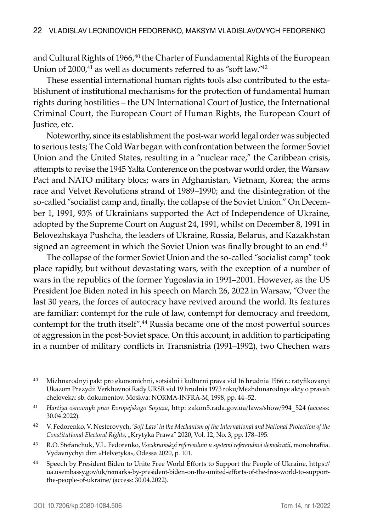and Cultural Rights of 1966,<sup>40</sup> the Charter of Fundamental Rights of the European Union of 2000,<sup>41</sup> as well as documents referred to as "soft law."<sup>42</sup>

These essential international human rights tools also contributed to the establishment of institutional mechanisms for the protection of fundamental human rights during hostilities – the UN International Court of Justice, the International Criminal Court, the European Court of Human Rights, the European Court of Justice, etc.

Noteworthy, since its establishment the post-war world legal order was subjected to serious tests; The Cold War began with confrontation between the former Soviet Union and the United States, resulting in a "nuclear race," the Caribbean crisis, attempts to revise the 1945 Yalta Conference on the postwar world order, the Warsaw Pact and NATO military blocs; wars in Afghanistan, Vietnam, Korea; the arms race and Velvet Revolutions strand of 1989–1990; and the disintegration of the so-called "socialist camp and, finally, the collapse of the Soviet Union." On December 1, 1991, 93% of Ukrainians supported the Act of Independence of Ukraine, adopted by the Supreme Court on August 24, 1991, whilst on December 8, 1991 in Belovezhskaya Pushcha, the leaders of Ukraine, Russia, Belarus, and Kazakhstan signed an agreement in which the Soviet Union was finally brought to an end.<sup>43</sup>

The collapse of the former Soviet Union and the so-called "socialist camp" took place rapidly, but without devastating wars, with the exception of a number of wars in the republics of the former Yugoslavia in 1991–2001. However, as the US President Joe Biden noted in his speech on March 26, 2022 in Warsaw, "Over the last 30 years, the forces of autocracy have revived around the world. Its features are familiar: contempt for the rule of law, contempt for democracy and freedom, contempt for the truth itself".44 Russia became one of the most powerful sources of aggression in the post-Soviet space. On this account, in addition to participating in a number of military conflicts in Transnistria (1991–1992), two Chechen wars

<sup>40</sup> Mizhnarodnyi pakt pro ekonomichni, sotsialni i kulturni prava vid 16 hrudnia 1966 r.: ratyfikovanyi Ukazom Prezydii Verkhovnoi Rady URSR vid 19 hrudnia 1973 roku/Mezhdunarodnye akty o pravah cheloveka: sb. dokumentov. Moskva: NORMA-INFRA-M, 1998, pp. 44–52.

<sup>41</sup> *Hartiya osnovnyh prav Evropejskogo Soyuza*, http: zakon5.rada.gov.ua/laws/show/994\_524 (access: 30.04.2022).

<sup>42</sup> V. Fedorenko, V. Nesterovych, '*Soft Law' in the Mechanism of the International and National Protection of the Constitutional Electoral Rights*, "Krytyka Prawa" 2020, Vol. 12, No. 3, pp. 178–195.

<sup>43</sup> R.O. Stefanchuk, V.L. Fedorenko, *Vseukrainskyi referendum u systemi referendnoi demokratii*, monohrafiia. Vydavnychyi dim «Helvetyka», Odessa 2020, p. 101.

<sup>44</sup> Speech by President Biden to Unite Free World Efforts to Support the People of Ukraine, https:// ua.usembassy.gov/uk/remarks-by-president-biden-on-the-united-efforts-of-the-free-world-to-supportthe-people-of-ukraine/ (access: 30.04.2022).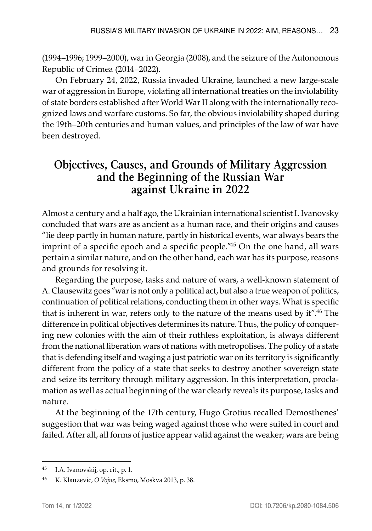(1994–1996; 1999–2000), war in Georgia (2008), and the seizure of the Autonomous Republic of Crimea (2014–2022).

On February 24, 2022, Russia invaded Ukraine, launched a new large-scale war of aggression in Europe, violating all international treaties on the inviolability of state borders established after World War II along with the internationally recognized laws and warfare customs. So far, the obvious inviolability shaped during the 19th–20th centuries and human values, and principles of the law of war have been destroyed.

## **Objectives, Causes, and Grounds of Military Aggression and the Beginning of the Russian War against Ukraine in 2022**

Almost a century and a half ago, the Ukrainian international scientist I. Ivanovsky concluded that wars are as ancient as a human race, and their origins and causes "lie deep partly in human nature, partly in historical events, war always bears the imprint of a specific epoch and a specific people."<sup>45</sup> On the one hand, all wars pertain a similar nature, and on the other hand, each war has its purpose, reasons and grounds for resolving it.

Regarding the purpose, tasks and nature of wars, a well-known statement of A. Clausewitz goes "war is not only a political act, but also a true weapon of politics, continuation of political relations, conducting them in other ways. What is specific that is inherent in war, refers only to the nature of the means used by it".<sup>46</sup> The difference in political objectives determines its nature. Thus, the policy of conquering new colonies with the aim of their ruthless exploitation, is always different from the national liberation wars of nations with metropolises. The policy of a state that is defending itself and waging a just patriotic war on its territory is significantly different from the policy of a state that seeks to destroy another sovereign state and seize its territory through military aggression. In this interpretation, proclamation as well as actual beginning of the war clearly reveals its purpose, tasks and nature.

At the beginning of the 17th century, Hugo Grotius recalled Demosthenes' suggestion that war was being waged against those who were suited in court and failed. After all, all forms of justice appear valid against the weaker; wars are being

<sup>45</sup> I.A. Ivanovskij, op. cit., p. 1.

<sup>46</sup> K. Klauzevic, *O Vojne*, Eksmo, Moskva 2013, p. 38.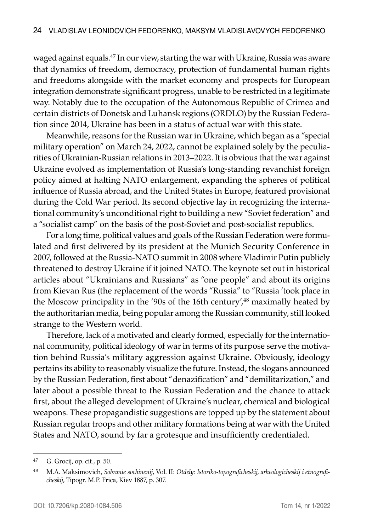waged against equals.47 In our view, starting the war with Ukraine, Russia was aware that dynamics of freedom, democracy, protection of fundamental human rights and freedoms alongside with the market economy and prospects for European integration demonstrate significant progress, unable to be restricted in a legitimate way. Notably due to the occupation of the Autonomous Republic of Crimea and certain districts of Donetsk and Luhansk regions (ORDLO) by the Russian Federation since 2014, Ukraine has been in a status of actual war with this state.

Meanwhile, reasons for the Russian war in Ukraine, which began as a "special military operation" on March 24, 2022, cannot be explained solely by the peculiarities of Ukrainian-Russian relations in 2013–2022. It is obvious that the war against Ukraine evolved as implementation of Russia's long-standing revanchist foreign policy aimed at halting NATO enlargement, expanding the spheres of political influence of Russia abroad, and the United States in Europe, featured provisional during the Cold War period. Its second objective lay in recognizing the international community's unconditional right to building a new "Soviet federation" and a "socialist camp" on the basis of the post-Soviet and post-socialist republics.

For a long time, political values and goals of the Russian Federation were formulated and first delivered by its president at the Munich Security Conference in 2007, followed at the Russia-NATO summit in 2008 where Vladimir Putin publicly threatened to destroy Ukraine if it joined NATO. The keynote set out in historical articles about "Ukrainians and Russians" as "one people" and about its origins from Kievan Rus (the replacement of the words "Russia" to "Russia 'took place in the Moscow principality in the '90s of the 16th century',  $48$  maximally heated by the authoritarian media, being popular among the Russian community, still looked strange to the Western world.

Therefore, lack of a motivated and clearly formed, especially for the international community, political ideology of war in terms of its purpose serve the motivation behind Russia's military aggression against Ukraine. Obviously, ideology pertains its ability to reasonably visualize the future. Instead, the slogans announced by the Russian Federation, first about "denazification" and "demilitarization," and later about a possible threat to the Russian Federation and the chance to attack first, about the alleged development of Ukraine's nuclear, chemical and biological weapons. These propagandistic suggestions are topped up by the statement about Russian regular troops and other military formations being at war with the United States and NATO, sound by far a grotesque and insufficiently credentialed.

<sup>47</sup> G. Grocij, op. cit., p. 50.

<sup>48</sup> M.A. Maksimovich, *Sobranie sochinenij*, Vol. II: *Otdely: Istoriko-topograficheskij, arheologicheskij i etnograficheskij*, Tipogr. M.P. Frica, Kiev 1887, p. 307.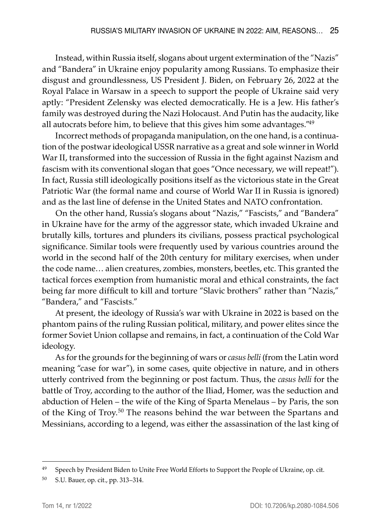Instead, within Russia itself, slogans about urgent extermination of the "Nazis" and "Bandera" in Ukraine enjoy popularity among Russians. To emphasize their disgust and groundlessness, US President J. Biden, on February 26, 2022 at the Royal Palace in Warsaw in a speech to support the people of Ukraine said very aptly: "President Zelensky was elected democratically. He is a Jew. His father's family was destroyed during the Nazi Holocaust. And Putin has the audacity, like all autocrats before him, to believe that this gives him some advantages."49

Incorrect methods of propaganda manipulation, on the one hand, is a continuation of the postwar ideological USSR narrative as a great and sole winner in World War II, transformed into the succession of Russia in the fight against Nazism and fascism with its conventional slogan that goes "Once necessary, we will repeat!"). In fact, Russia still ideologically positions itself as the victorious state in the Great Patriotic War (the formal name and course of World War II in Russia is ignored) and as the last line of defense in the United States and NATO confrontation.

On the other hand, Russia's slogans about "Nazis," "Fascists," and "Bandera" in Ukraine have for the army of the aggressor state, which invaded Ukraine and brutally kills, tortures and plunders its civilians, possess practical psychological significance. Similar tools were frequently used by various countries around the world in the second half of the 20th century for military exercises, when under the code name… alien creatures, zombies, monsters, beetles, etc. This granted the tactical forces exemption from humanistic moral and ethical constraints, the fact being far more difficult to kill and torture "Slavic brothers" rather than "Nazis," "Bandera," and "Fascists."

At present, the ideology of Russia's war with Ukraine in 2022 is based on the phantom pains of the ruling Russian political, military, and power elites since the former Soviet Union collapse and remains, in fact, a continuation of the Cold War ideology.

As for the grounds for the beginning of wars or *casus belli* (from the Latin word meaning "case for war"), in some cases, quite objective in nature, and in others utterly contrived from the beginning or post factum. Thus, the *casus belli* for the battle of Troy, according to the author of the Iliad, Homer, was the seduction and abduction of Helen – the wife of the King of Sparta Menelaus – by Paris, the son of the King of Troy.50 The reasons behind the war between the Spartans and Messinians, according to a legend, was either the assassination of the last king of

<sup>&</sup>lt;sup>49</sup> Speech by President Biden to Unite Free World Efforts to Support the People of Ukraine, op. cit.

<sup>50</sup> S.U. Bauer, op. cit., pp. 313–314.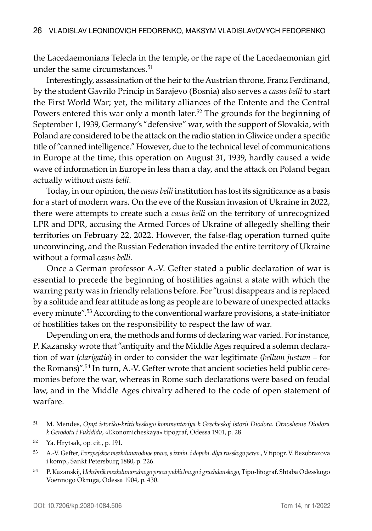the Lacedaemonians Telecla in the temple, or the rape of the Lacedaemonian girl under the same circumstances. $51$ 

Interestingly, assassination of the heir to the Austrian throne, Franz Ferdinand, by the student Gavrilo Princip in Sarajevo (Bosnia) also serves a *casus belli* to start the First World War; yet, the military alliances of the Entente and the Central Powers entered this war only a month later.<sup>52</sup> The grounds for the beginning of September 1, 1939, Germany's "defensive" war, with the support of Slovakia, with Poland are considered to be the attack on the radio station in Gliwice under a specific title of "canned intelligence." However, due to the technical level of communications in Europe at the time, this operation on August 31, 1939, hardly caused a wide wave of information in Europe in less than a day, and the attack on Poland began actually without *casus belli*.

Today, in our opinion, the *casus belli* institution has lost its significance as a basis for a start of modern wars. On the eve of the Russian invasion of Ukraine in 2022, there were attempts to create such a *casus belli* on the territory of unrecognized LPR and DPR, accusing the Armed Forces of Ukraine of allegedly shelling their territories on February 22, 2022. However, the false-flag operation turned quite unconvincing, and the Russian Federation invaded the entire territory of Ukraine without a formal *casus belli*.

Once a German professor A.-V. Gefter stated a public declaration of war is essential to precede the beginning of hostilities against a state with which the warring party was in friendly relations before. For "trust disappears and is replaced by a solitude and fear attitude as long as people are to beware of unexpected attacks every minute".53 According to the conventional warfare provisions, a state-initiator of hostilities takes on the responsibility to respect the law of war.

Depending on era, the methods and forms of declaring war varied. For instance, P. Kazansky wrote that "antiquity and the Middle Ages required a solemn declaration of war (*clarigatio*) in order to consider the war legitimate (*bellum justum* – for the Romans)".54 In turn, A.-V. Gefter wrote that ancient societies held public ceremonies before the war, whereas in Rome such declarations were based on feudal law, and in the Middle Ages chivalry adhered to the code of open statement of warfare.

<sup>51</sup> M. Mendes, *Opyt istoriko-kriticheskogo kommentariya k Grecheskoj istorii Diodora. Otnoshenie Diodora k Gerodotu i Fukididu*, «Ekonomicheskaya» tipograf, Odessa 1901, p. 28.

<sup>52</sup> Ya. Hrytsak, op. cit., p. 191.

<sup>53</sup> A.-V. Gefter, *Evropejskoe mezhdunarodnoe pravo, s izmin. i dopoln. dlya russkogo perev*., V tipogr. V. Bezobrazova i komp., Sankt Petersburg 1880, p. 226.

<sup>54</sup> P. Kazanskij, *Uchebnik mezhdunarodnogo prava publichnogo i grazhdanskogo*, Tipo-litograf. Shtaba Odesskogo Voennogo Okruga, Odessa 1904, p. 430.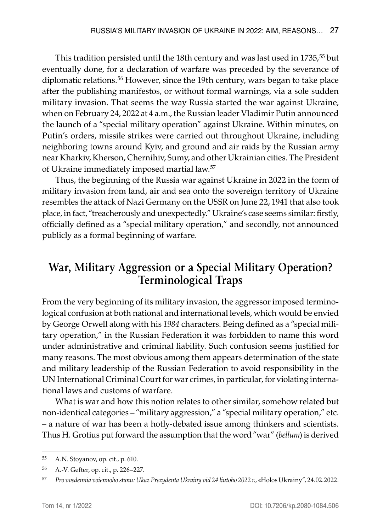This tradition persisted until the 18th century and was last used in 1735,<sup>55</sup> but eventually done, for a declaration of warfare was preceded by the severance of diplomatic relations.<sup>56</sup> However, since the 19th century, wars began to take place after the publishing manifestos, or without formal warnings, via a sole sudden military invasion. That seems the way Russia started the war against Ukraine, when on February 24, 2022 at 4 a.m., the Russian leader Vladimir Putin announced the launch of a "special military operation" against Ukraine. Within minutes, on Putin's orders, missile strikes were carried out throughout Ukraine, including neighboring towns around Kyiv, and ground and air raids by the Russian army near Kharkiv, Kherson, Chernihiv, Sumy, and other Ukrainian cities. The President of Ukraine immediately imposed martial law.57

Thus, the beginning of the Russia war against Ukraine in 2022 in the form of military invasion from land, air and sea onto the sovereign territory of Ukraine resembles the attack of Nazi Germany on the USSR on June 22, 1941 that also took place, in fact, "treacherously and unexpectedly." Ukraine's case seems similar: firstly, officially defined as a "special military operation," and secondly, not announced publicly as a formal beginning of warfare.

# **War, Military Aggression or a Special Military Operation? Terminological Traps**

From the very beginning of its military invasion, the aggressor imposed terminological confusion at both national and international levels, which would be envied by George Orwell along with his *1984* characters. Being defined as a "special military operation," in the Russian Federation it was forbidden to name this word under administrative and criminal liability. Such confusion seems justified for many reasons. The most obvious among them appears determination of the state and military leadership of the Russian Federation to avoid responsibility in the UN International Criminal Court for war crimes, in particular, for violating international laws and customs of warfare.

What is war and how this notion relates to other similar, somehow related but non-identical categories – "military aggression," a "special military operation," etc. – a nature of war has been a hotly-debated issue among thinkers and scientists. Thus H. Grotius put forward the assumption that the word "war" (*bellum*) is derived

<sup>55</sup> A.N. Stoyanov, op. cit., p. 610.

<sup>56</sup> A.-V. Gefter, op. cit., p. 226–227.

<sup>57</sup> *Pro vvedennia voiennoho stanu: Ukaz Prezydenta Ukrainy vid 24 liutoho 2022 r*., «Holos Ukrainy", 24.02.2022.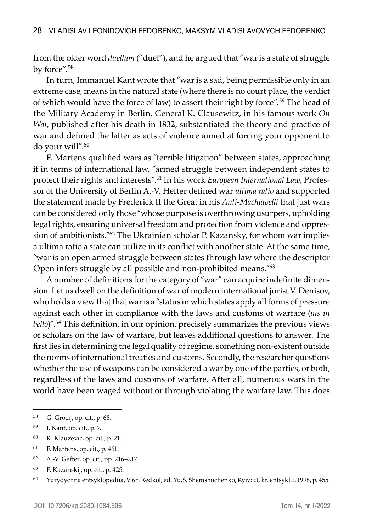from the older word *duellum* ("duel"), and he argued that "war is a state of struggle by force".58

In turn, Immanuel Kant wrote that "war is a sad, being permissible only in an extreme case, means in the natural state (where there is no court place, the verdict of which would have the force of law) to assert their right by force".59 The head of the Military Academy in Berlin, General K. Clausewitz, in his famous work *On War*, published after his death in 1832, substantiated the theory and practice of war and defined the latter as acts of violence aimed at forcing your opponent to do your will".<sup>60</sup>

F. Martens qualified wars as "terrible litigation" between states, approaching it in terms of international law, "armed struggle between independent states to protect their rights and interests".61 In his work *European International Law*, Professor of the University of Berlin A.-V. Hefter defined war *ultima ratio* and supported the statement made by Frederick II the Great in his *Anti-Machiavelli* that just wars can be considered only those "whose purpose is overthrowing usurpers, upholding legal rights, ensuring universal freedom and protection from violence and oppression of ambitionists."<sup>62</sup> The Ukrainian scholar P. Kazansky, for whom war implies a ultima ratio a state can utilize in its conflict with another state. At the same time, "war is an open armed struggle between states through law where the descriptor Open infers struggle by all possible and non-prohibited means."<sup>63</sup>

A number of definitions for the category of "war" can acquire indefinite dimension. Let us dwell on the definition of war of modern international jurist V. Denisov, who holds a view that that war is a "status in which states apply all forms of pressure against each other in compliance with the laws and customs of warfare (*ius in bello*)".<sup>64</sup> This definition, in our opinion, precisely summarizes the previous views of scholars on the law of warfare, but leaves additional questions to answer. The first lies in determining the legal quality of regime, something non-existent outside the norms of international treaties and customs. Secondly, the researcher questions whether the use of weapons can be considered a war by one of the parties, or both, regardless of the laws and customs of warfare. After all, numerous wars in the world have been waged without or through violating the warfare law. This does

- <sup>60</sup> K. Klauzevic, op. cit., p. 21.
- <sup>61</sup> F. Martens, op. cit., p. 461.
- <sup>62</sup> A.-V. Gefter, op. cit., pp. 216–217.
- <sup>63</sup> P. Kazanskij, op. cit., p. 425.

<sup>58</sup> G. Grocij, op. cit., p. 68.

<sup>59</sup> I. Kant, op. cit., p. 7.

<sup>64</sup> Yurydychna entsyklopediia, V 6 t. Redkol, ed. Yu.S. Shemshuchenko, Kyiv: «Ukr. entsykl.», 1998, p. 455.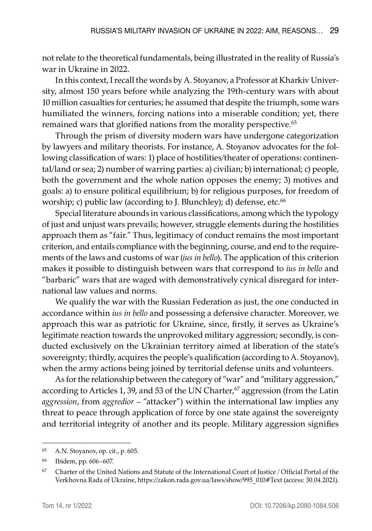not relate to the theoretical fundamentals, being illustrated in the reality of Russia's war in Ukraine in 2022.

In this context, I recall the words by A. Stoyanov, a Professor at Kharkiv University, almost 150 years before while analyzing the 19th-century wars with about 10 million casualties for centuries; he assumed that despite the triumph, some wars humiliated the winners, forcing nations into a miserable condition; yet, there remained wars that glorified nations from the morality perspective.<sup>65</sup>

Through the prism of diversity modern wars have undergone categorization by lawyers and military theorists. For instance, A. Stoyanov advocates for the following classification of wars: 1) place of hostilities/theater of operations: continental/land or sea; 2) number of warring parties: a) civilian; b) international; c) people, both the government and the whole nation opposes the enemy; 3) motives and goals: a) to ensure political equilibrium; b) for religious purposes, for freedom of worship; c) public law (according to J. Blunchley); d) defense, etc.<sup>66</sup>

Special literature abounds in various classifications, among which the typology of just and unjust wars prevails; however, struggle elements during the hostilities approach them as "fair." Thus, legitimacy of conduct remains the most important criterion, and entails compliance with the beginning, course, and end to the requirements of the laws and customs of war (*ius in bello*). The application of this criterion makes it possible to distinguish between wars that correspond to *ius in bello* and "barbaric" wars that are waged with demonstratively cynical disregard for international law values and norms.

We qualify the war with the Russian Federation as just, the one conducted in accordance within *ius in bello* and possessing a defensive character. Moreover, we approach this war as patriotic for Ukraine, since, firstly, it serves as Ukraine's legitimate reaction towards the unprovoked military aggression; secondly, is conducted exclusively on the Ukrainian territory aimed at liberation of the state's sovereignty; thirdly, acquires the people's qualification (according to A. Stoyanov), when the army actions being joined by territorial defense units and volunteers.

As for the relationship between the category of "war" and "military aggression," according to Articles 1, 39, and 53 of the UN Charter,<sup>67</sup> aggression (from the Latin *aggression*, from *aggredior* – "attacker") within the international law implies any threat to peace through application of force by one state against the sovereignty and territorial integrity of another and its people. Military aggression signifies

<sup>65</sup> A.N. Stoyanov, op. cit., p. 605.

<sup>66</sup> Ibidem, pp. 606–607.

<sup>67</sup> Charter of the United Nations and Statute of the International Court of Justice / Official Portal of the Verkhovna Rada of Ukraine, https://zakon.rada.gov.ua/laws/show/995\_010#Text (access: 30.04.2021).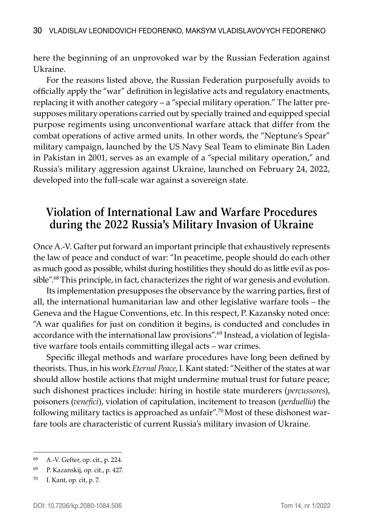here the beginning of an unprovoked war by the Russian Federation against Ukraine.

For the reasons listed above, the Russian Federation purposefully avoids to officially apply the "war" definition in legislative acts and regulatory enactments, replacing it with another category – a "special military operation." The latter presupposes military operations carried out by specially trained and equipped special purpose regiments using unconventional warfare attack that differ from the combat operations of active armed units. In other words, the "Neptune's Spear" military campaign, launched by the US Navy Seal Team to eliminate Bin Laden in Pakistan in 2001, serves as an example of a "special military operation," and Russia's military aggression against Ukraine, launched on February 24, 2022, developed into the full-scale war against a sovereign state.

## **Violation of International Law and Warfare Procedures during the 2022 Russia's Military Invasion of Ukraine**

Once A.-V. Gafter put forward an important principle that exhaustively represents the law of peace and conduct of war: "In peacetime, people should do each other as much good as possible, whilst during hostilities they should do as little evil as possible".<sup>68</sup> This principle, in fact, characterizes the right of war genesis and evolution.

Its implementation presupposes the observance by the warring parties, first of all, the international humanitarian law and other legislative warfare tools – the Geneva and the Hague Conventions, etc. In this respect, P. Kazansky noted once: "A war qualifies for just on condition it begins, is conducted and concludes in accordance with the international law provisions".<sup>69</sup> Instead, a violation of legislative warfare tools entails committing illegal acts – war crimes.

Specific illegal methods and warfare procedures have long been defined by theorists. Thus, in his work *Eternal Peace*, I. Kant stated: "Neither of the states at war should allow hostile actions that might undermine mutual trust for future peace; such dishonest practices include: hiring in hostile state murderers (*percussores*), poisoners (*venefici*), violation of capitulation, incitement to treason (*perduellio*) the following military tactics is approached as unfair".70 Most of these dishonest warfare tools are characteristic of current Russia's military invasion of Ukraine.

<sup>68</sup> A.-V. Gefter, op. cit., p. 224.

<sup>69</sup> P. Kazanskij, op. cit., p. 427.

<sup>70</sup> I. Kant, op. cit, p. 7.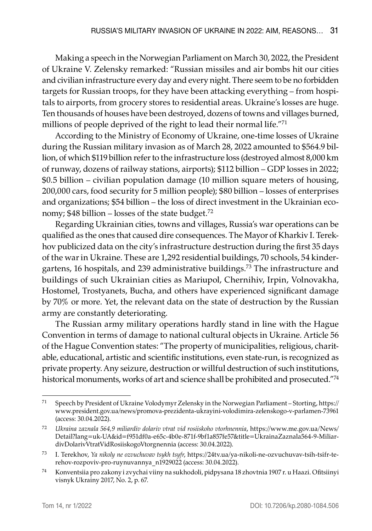Making a speech in the Norwegian Parliament on March 30, 2022, the President of Ukraine V. Zelensky remarked: "Russian missiles and air bombs hit our cities and civilian infrastructure every day and every night. There seem to be no forbidden targets for Russian troops, for they have been attacking everything – from hospitals to airports, from grocery stores to residential areas. Ukraine's losses are huge. Ten thousands of houses have been destroyed, dozens of towns and villages burned, millions of people deprived of the right to lead their normal life."71

According to the Ministry of Economy of Ukraine, one-time losses of Ukraine during the Russian military invasion as of March 28, 2022 amounted to \$564.9 billion, of which \$119 billion refer to the infrastructure loss (destroyed almost 8,000 km of runway, dozens of railway stations, airports); \$112 billion – GDP losses in 2022; \$0.5 billion – civilian population damage (10 million square meters of housing, 200,000 cars, food security for 5 million people); \$80 billion – losses of enterprises and organizations; \$54 billion – the loss of direct investment in the Ukrainian economy;  $$48$  billion – losses of the state budget.<sup>72</sup>

Regarding Ukrainian cities, towns and villages, Russia's war operations can be qualified as the ones that caused dire consequences. The Mayor of Kharkiv I. Terekhov publicized data on the city's infrastructure destruction during the first 35 days of the war in Ukraine. These are 1,292 residential buildings, 70 schools, 54 kindergartens, 16 hospitals, and 239 administrative buildings.73 The infrastructure and buildings of such Ukrainian cities as Mariupol, Chernihiv, Irpin, Volnovakha, Hostomel, Trostyanets, Bucha, and others have experienced significant damage by 70% or more. Yet, the relevant data on the state of destruction by the Russian army are constantly deteriorating.

The Russian army military operations hardly stand in line with the Hague Convention in terms of damage to national cultural objects in Ukraine. Article 56 of the Hague Convention states: "The property of municipalities, religious, charitable, educational, artistic and scientific institutions, even state-run, is recognized as private property. Any seizure, destruction or willful destruction of such institutions, historical monuments, works of art and science shall be prohibited and prosecuted."74

<sup>71</sup> Speech by President of Ukraine Volodymyr Zelensky in the Norwegian Parliament – Storting, https:// www.president.gov.ua/news/promova-prezidenta-ukrayini-volodimira-zelenskogo-v-parlamen-73961 (access: 30.04.2022).

<sup>72</sup> *Ukraina zaznala 564,9 miliardiv dolariv vtrat vid rosiiskoho vtorhnennia*, https://www.me.gov.ua/News/ Detail?lang=uk-UA&id=f951df0a-e65c-4b0e-871f-9bf1a857fe57&title=UkrainaZaznala564-9-MiliardivDolarivVtratVidRosiiskogoVtorgnennia (access: 30.04.2022).

<sup>73</sup> I. Terekhov, *Ya nikoly ne ozvuchuvav tsykh tsyfr*, https://24tv.ua/ya-nikoli-ne-ozvuchuvav-tsih-tsifr-terehov-rozpoviv-pro-ruynuvannya\_n1929022 (access: 30.04.2022).

<sup>74</sup> Konventsiia pro zakony i zvychai viiny na sukhodoli, pidpysana 18 zhovtnia 1907 r. u Haazi. Ofitsiinyi visnyk Ukrainy 2017, No. 2, p. 67.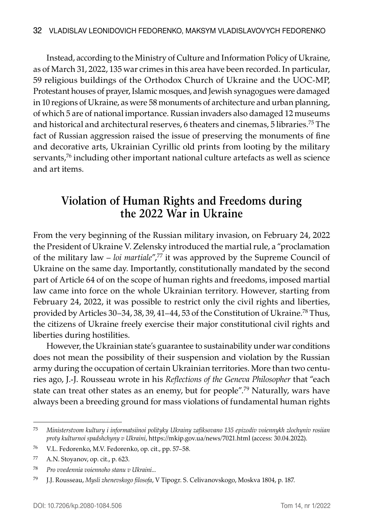Instead, according to the Ministry of Culture and Information Policy of Ukraine, as of March 31, 2022, 135 war crimes in this area have been recorded. In particular, 59 religious buildings of the Orthodox Church of Ukraine and the UOC-MP, Protestant houses of prayer, Islamic mosques, and Jewish synagogues were damaged in 10 regions of Ukraine, as were 58 monuments of architecture and urban planning, of which 5 are of national importance. Russian invaders also damaged 12 museums and historical and architectural reserves, 6 theaters and cinemas, 5 libraries.75 The fact of Russian aggression raised the issue of preserving the monuments of fine and decorative arts, Ukrainian Cyrillic old prints from looting by the military servants,<sup>76</sup> including other important national culture artefacts as well as science and art items.

## **Violation of Human Rights and Freedoms during the 2022 War in Ukraine**

From the very beginning of the Russian military invasion, on February 24, 2022 the President of Ukraine V. Zelensky introduced the martial rule, a "proclamation of the military law – *loi martiale*",77 it was approved by the Supreme Council of Ukraine on the same day. Importantly, constitutionally mandated by the second part of Article 64 of on the scope of human rights and freedoms, imposed martial law came into force on the whole Ukrainian territory. However, starting from February 24, 2022, it was possible to restrict only the civil rights and liberties, provided by Articles 30–34, 38, 39, 41–44, 53 of the Constitution of Ukraine.78 Thus, the citizens of Ukraine freely exercise their major constitutional civil rights and liberties during hostilities.

However, the Ukrainian state's guarantee to sustainability under war conditions does not mean the possibility of their suspension and violation by the Russian army during the occupation of certain Ukrainian territories. More than two centuries ago, J.-J. Rousseau wrote in his *Reflections of the Geneva Philosopher* that "each state can treat other states as an enemy, but for people".<sup>79</sup> Naturally, wars have always been a breeding ground for mass violations of fundamental human rights

<sup>75</sup> *Ministerstvom kultury i informatsiinoi polityky Ukrainy zafiksovano 135 epizodiv voiennykh zlochyniv rosiian proty kulturnoi spadshchyny v Ukraini*, https://mkip.gov.ua/news/7021.html (access: 30.04.2022).

<sup>76</sup> V.L. Fedorenko, M.V. Fedorenko, op. cit., pp. 57–58.

<sup>77</sup> A.N. Stoyanov, op. cit., p. 623.

<sup>78</sup> *Pro vvedennia voiennoho stanu v Ukraini...*

<sup>79</sup> J.J. Rousseau, *Mysli zhenevskogo filosofa*, V Tipogr. S. Celivanovskogo, Moskva 1804, p. 187.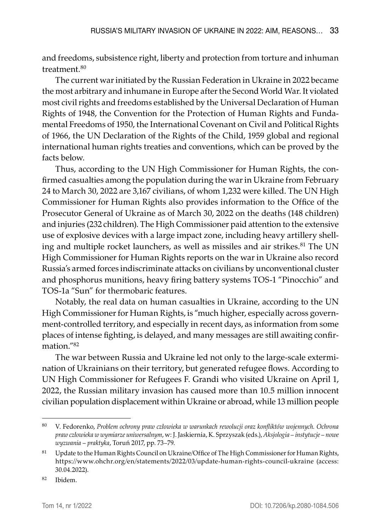and freedoms, subsistence right, liberty and protection from torture and inhuman treatment.<sup>80</sup>

The current war initiated by the Russian Federation in Ukraine in 2022 became the most arbitrary and inhumane in Europe after the Second World War. It violated most civil rights and freedoms established by the Universal Declaration of Human Rights of 1948, the Convention for the Protection of Human Rights and Fundamental Freedoms of 1950, the International Covenant on Civil and Political Rights of 1966, the UN Declaration of the Rights of the Child, 1959 global and regional international human rights treaties and conventions, which can be proved by the facts below.

Thus, according to the UN High Commissioner for Human Rights, the confirmed casualties among the population during the war in Ukraine from February 24 to March 30, 2022 are 3,167 civilians, of whom 1,232 were killed. The UN High Commissioner for Human Rights also provides information to the Office of the Prosecutor General of Ukraine as of March 30, 2022 on the deaths (148 children) and injuries (232 children). The High Commissioner paid attention to the extensive use of explosive devices with a large impact zone, including heavy artillery shelling and multiple rocket launchers, as well as missiles and air strikes.<sup>81</sup> The UN High Commissioner for Human Rights reports on the war in Ukraine also record Russia's armed forces indiscriminate attacks on civilians by unconventional cluster and phosphorus munitions, heavy firing battery systems TOS-1 "Pinocchio" and TOS-1a "Sun" for thermobaric features.

Notably, the real data on human casualties in Ukraine, according to the UN High Commissioner for Human Rights, is "much higher, especially across government-controlled territory, and especially in recent days, as information from some places of intense fighting, is delayed, and many messages are still awaiting confirmation."82

The war between Russia and Ukraine led not only to the large-scale extermination of Ukrainians on their territory, but generated refugee flows. According to UN High Commissioner for Refugees F. Grandi who visited Ukraine on April 1, 2022, the Russian military invasion has caused more than 10.5 million innocent civilian population displacement within Ukraine or abroad, while 13 million people

<sup>80</sup> V. Fedorenko, *Problem ochrony praw człowieka w warunkach rewolucji oraz konfliktów wojennych. Ochrona praw człowieka w wymiarze uniwersalnym*, w: J. Jaskiernia, K. Sprzyszak (eds.), *Aksjologia – instytucje – nowe wyzwania – praktyka*, Toruń 2017, pp. 73–79.

<sup>&</sup>lt;sup>81</sup> Update to the Human Rights Council on Ukraine/Office of The High Commissioner for Human Rights, https://www.ohchr.org/en/statements/2022/03/update-human-rights-council-ukraine (access: 30.04.2022).

<sup>82</sup> Ibidem.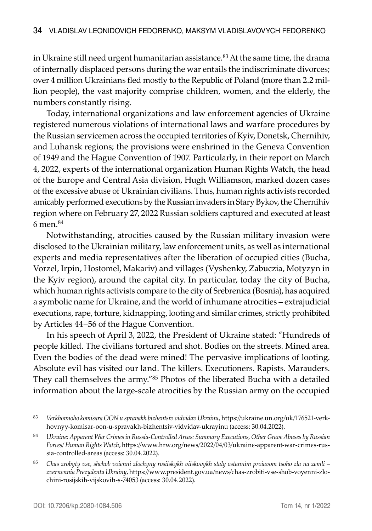in Ukraine still need urgent humanitarian assistance.<sup>83</sup> At the same time, the drama of internally displaced persons during the war entails the indiscriminate divorces; over 4 million Ukrainians fled mostly to the Republic of Poland (more than 2.2 million people), the vast majority comprise children, women, and the elderly, the numbers constantly rising.

Today, international organizations and law enforcement agencies of Ukraine registered numerous violations of international laws and warfare procedures by the Russian servicemen across the occupied territories of Kyiv, Donetsk, Chernihiv, and Luhansk regions; the provisions were enshrined in the Geneva Convention of 1949 and the Hague Convention of 1907. Particularly, in their report on March 4, 2022, experts of the international organization Human Rights Watch, the head of the Europe and Central Asia division, Hugh Williamson, marked dozen cases of the excessive abuse of Ukrainian civilians. Thus, human rights activists recorded amicably performed executions by the Russian invaders in Stary Bykov, the Chernihiv region where on February 27, 2022 Russian soldiers captured and executed at least 6 men.<sup>84</sup>

Notwithstanding, atrocities caused by the Russian military invasion were disclosed to the Ukrainian military, law enforcement units, as well as international experts and media representatives after the liberation of occupied cities (Bucha, Vorzel, Irpin, Hostomel, Makariv) and villages (Vyshenky, Zabuczia, Motyzyn in the Kyiv region), around the capital city. In particular, today the city of Bucha, which human rights activists compare to the city of Srebrenica (Bosnia), has acquired a symbolic name for Ukraine, and the world of inhumane atrocities – extrajudicial executions, rape, torture, kidnapping, looting and similar crimes, strictly prohibited by Articles 44–56 of the Hague Convention.

In his speech of April 3, 2022, the President of Ukraine stated: "Hundreds of people killed. The civilians tortured and shot. Bodies on the streets. Mined area. Even the bodies of the dead were mined! The pervasive implications of looting. Absolute evil has visited our land. The killers. Executioners. Rapists. Marauders. They call themselves the army."85 Photos of the liberated Bucha with a detailed information about the large-scale atrocities by the Russian army on the occupied

<sup>83</sup> *Verkhovnoho komisara OON u spravakh bizhentsiv vidvidav Ukrainu*, https://ukraine.un.org/uk/176521-verkhovnyy-komisar-oon-u-spravakh-bizhentsiv-vidvidav-ukrayinu (access: 30.04.2022).

<sup>84</sup> *Ukraine: Apparent War Crimes in Russia-Controlled Areas: Summary Executions, Other Grave Abuses by Russian Forces/ Human Rights Watch*, https://www.hrw.org/news/2022/04/03/ukraine-apparent-war-crimes-russia-controlled-areas (access: 30.04.2022).

<sup>85</sup> *Chas zrobyty vse, shchob voienni zlochyny rosiiskykh viiskovykh staly ostannim proiavom tsoho zla na zemli – zvernennia Prezydenta Ukrainy*, https://www.president.gov.ua/news/chas-zrobiti-vse-shob-voyenni-zlochini-rosijskih-vijskovih-s-74053 (access: 30.04.2022).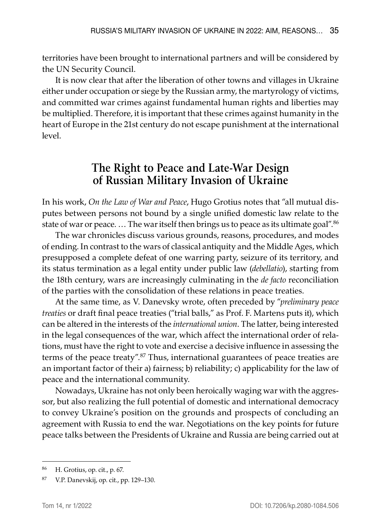territories have been brought to international partners and will be considered by the UN Security Council.

It is now clear that after the liberation of other towns and villages in Ukraine either under occupation or siege by the Russian army, the martyrology of victims, and committed war crimes against fundamental human rights and liberties may be multiplied. Therefore, it is important that these crimes against humanity in the heart of Europe in the 21st century do not escape punishment at the international level.

## **The Right to Peace and Late-War Design of Russian Military Invasion of Ukraine**

In his work, *On the Law of War and Peace*, Hugo Grotius notes that "all mutual disputes between persons not bound by a single unified domestic law relate to the state of war or peace. … The war itself then brings us to peace as its ultimate goal".86

The war chronicles discuss various grounds, reasons, procedures, and modes of ending. In contrast to the wars of classical antiquity and the Middle Ages, which presupposed a complete defeat of one warring party, seizure of its territory, and its status termination as a legal entity under public law (*debellatio*), starting from the 18th century, wars are increasingly culminating in the *de facto* reconciliation of the parties with the consolidation of these relations in peace treaties.

At the same time, as V. Danevsky wrote, often preceded by "*preliminary peace treaties* or draft final peace treaties ("trial balls," as Prof. F. Martens puts it), which can be altered in the interests of the *international union*. The latter, being interested in the legal consequences of the war, which affect the international order of relations, must have the right to vote and exercise a decisive influence in assessing the terms of the peace treaty".<sup>87</sup> Thus, international guarantees of peace treaties are an important factor of their a) fairness; b) reliability; c) applicability for the law of peace and the international community.

Nowadays, Ukraine has not only been heroically waging war with the aggressor, but also realizing the full potential of domestic and international democracy to convey Ukraine's position on the grounds and prospects of concluding an agreement with Russia to end the war. Negotiations on the key points for future peace talks between the Presidents of Ukraine and Russia are being carried out at

<sup>86</sup> H. Grotius, op. cit., p. 67.

<sup>87</sup> V.P. Danevskij, op. cit., pp. 129–130.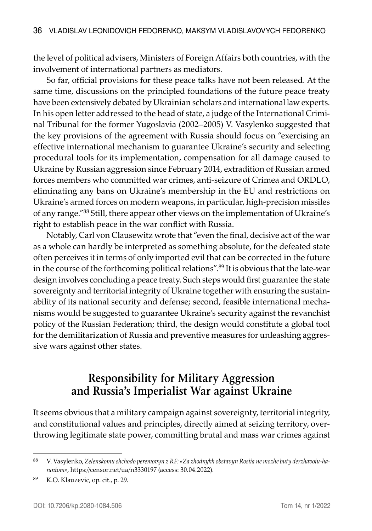the level of political advisers, Ministers of Foreign Affairs both countries, with the involvement of international partners as mediators.

So far, official provisions for these peace talks have not been released. At the same time, discussions on the principled foundations of the future peace treaty have been extensively debated by Ukrainian scholars and international law experts. In his open letter addressed to the head of state, a judge of the International Criminal Tribunal for the former Yugoslavia (2002–2005) V. Vasylenko suggested that the key provisions of the agreement with Russia should focus on "exercising an effective international mechanism to guarantee Ukraine's security and selecting procedural tools for its implementation, compensation for all damage caused to Ukraine by Russian aggression since February 2014, extradition of Russian armed forces members who committed war crimes, anti-seizure of Crimea and ORDLO, eliminating any bans on Ukraine's membership in the EU and restrictions on Ukraine's armed forces on modern weapons, in particular, high-precision missiles of any range."88 Still, there appear other views on the implementation of Ukraine's right to establish peace in the war conflict with Russia.

Notably, Carl von Clausewitz wrote that "even the final, decisive act of the war as a whole can hardly be interpreted as something absolute, for the defeated state often perceives it in terms of only imported evil that can be corrected in the future in the course of the forthcoming political relations".<sup>89</sup> It is obvious that the late-war design involves concluding a peace treaty. Such steps would first guarantee the state sovereignty and territorial integrity of Ukraine together with ensuring the sustainability of its national security and defense; second, feasible international mechanisms would be suggested to guarantee Ukraine's security against the revanchist policy of the Russian Federation; third, the design would constitute a global tool for the demilitarization of Russia and preventive measures for unleashing aggressive wars against other states.

## **Responsibility for Military Aggression and Russia's Imperialist War against Ukraine**

It seems obvious that a military campaign against sovereignty, territorial integrity, and constitutional values and principles, directly aimed at seizing territory, overthrowing legitimate state power, committing brutal and mass war crimes against

<sup>88</sup> V. Vasylenko, *Zelenskomu shchodo peremovyn z RF: «Za zhodnykh obstavyn Rosiia ne mozhe buty derzhavoiu-harantom»*, https://censor.net/ua/n3330197 (access: 30.04.2022).

<sup>89</sup> K.O. Klauzevic, op. cit., p. 29.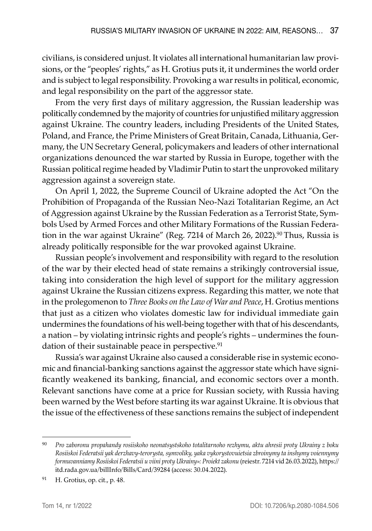civilians, is considered unjust. It violates all international humanitarian law provisions, or the "peoples' rights," as H. Grotius puts it, it undermines the world order and is subject to legal responsibility. Provoking a war results in political, economic, and legal responsibility on the part of the aggressor state.

From the very first days of military aggression, the Russian leadership was politically condemned by the majority of countries for unjustified military aggression against Ukraine. The country leaders, including Presidents of the United States, Poland, and France, the Prime Ministers of Great Britain, Canada, Lithuania, Germany, the UN Secretary General, policymakers and leaders of other international organizations denounced the war started by Russia in Europe, together with the Russian political regime headed by Vladimir Putin to start the unprovoked military aggression against a sovereign state.

On April 1, 2022, the Supreme Council of Ukraine adopted the Act "On the Prohibition of Propaganda of the Russian Neo-Nazi Totalitarian Regime, an Act of Aggression against Ukraine by the Russian Federation as a Terrorist State, Symbols Used by Armed Forces and other Military Formations of the Russian Federation in the war against Ukraine" (Reg. 7214 of March 26, 2022).<sup>90</sup> Thus, Russia is already politically responsible for the war provoked against Ukraine.

Russian people's involvement and responsibility with regard to the resolution of the war by their elected head of state remains a strikingly controversial issue, taking into consideration the high level of support for the military aggression against Ukraine the Russian citizens express. Regarding this matter, we note that in the prolegomenon to *Three Books on the Law of War and Peace*, H. Grotius mentions that just as a citizen who violates domestic law for individual immediate gain undermines the foundations of his well-being together with that of his descendants, a nation – by violating intrinsic rights and people's rights – undermines the foundation of their sustainable peace in perspective.<sup>91</sup>

Russia's war against Ukraine also caused a considerable rise in systemic economic and financial-banking sanctions against the aggressor state which have significantly weakened its banking, financial, and economic sectors over a month. Relevant sanctions have come at a price for Russian society, with Russia having been warned by the West before starting its war against Ukraine. It is obvious that the issue of the effectiveness of these sanctions remains the subject of independent

<sup>90</sup> *Pro zaboronu propahandy rosiiskoho neonatsystskoho totalitarnoho rezhymu, aktu ahresii proty Ukrainy z boku Rosiiskoi Federatsii yak derzhavy-terorysta, symvoliky, yaka vykorystovuietsia zbroinymy ta inshymy voiennymy formuvanniamy Rosiiskoi Federatsii u viini proty Ukrainy»: Proiekt zakonu* (reiestr. 7214 vid 26.03.2022), https:// itd.rada.gov.ua/billInfo/Bills/Card/39284 (access: 30.04.2022).

<sup>91</sup> H. Grotius, op. cit., p. 48.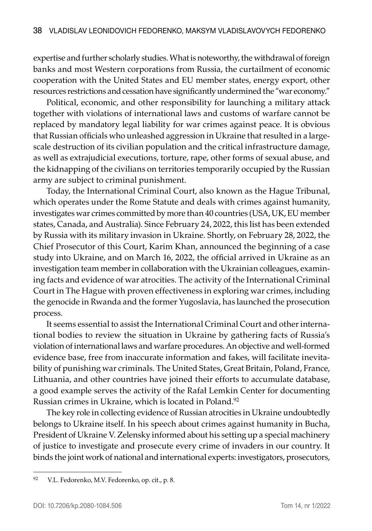expertise and further scholarly studies. What is noteworthy, the withdrawal of foreign banks and most Western corporations from Russia, the curtailment of economic cooperation with the United States and EU member states, energy export, other resources restrictions and cessation have significantly undermined the "war economy."

Political, economic, and other responsibility for launching a military attack together with violations of international laws and customs of warfare cannot be replaced by mandatory legal liability for war crimes against peace. It is obvious that Russian officials who unleashed aggression in Ukraine that resulted in a largescale destruction of its civilian population and the critical infrastructure damage, as well as extrajudicial executions, torture, rape, other forms of sexual abuse, and the kidnapping of the civilians on territories temporarily occupied by the Russian army are subject to criminal punishment.

Today, the International Criminal Court, also known as the Hague Tribunal, which operates under the Rome Statute and deals with crimes against humanity, investigates war crimes committed by more than 40 countries (USA, UK, EU member states, Canada, and Australia). Since February 24, 2022, this list has been extended by Russia with its military invasion in Ukraine. Shortly, on February 28, 2022, the Chief Prosecutor of this Court, Karim Khan, announced the beginning of a case study into Ukraine, and on March 16, 2022, the official arrived in Ukraine as an investigation team member in collaboration with the Ukrainian colleagues, examining facts and evidence of war atrocities. The activity of the International Criminal Court in The Hague with proven effectiveness in exploring war crimes, including the genocide in Rwanda and the former Yugoslavia, has launched the prosecution process.

It seems essential to assist the International Criminal Court and other international bodies to review the situation in Ukraine by gathering facts of Russia's violation of international laws and warfare procedures. An objective and well-formed evidence base, free from inaccurate information and fakes, will facilitate inevitability of punishing war criminals. The United States, Great Britain, Poland, France, Lithuania, and other countries have joined their efforts to accumulate database, a good example serves the activity of the Rafał Lemkin Center for documenting Russian crimes in Ukraine, which is located in Poland.92

The key role in collecting evidence of Russian atrocities in Ukraine undoubtedly belongs to Ukraine itself. In his speech about crimes against humanity in Bucha, President of Ukraine V. Zelensky informed about his setting up a special machinery of justice to investigate and prosecute every crime of invaders in our country. It binds the joint work of national and international experts: investigators, prosecutors,

<sup>92</sup> V.L. Fedorenko, M.V. Fedorenko, op. cit., p. 8.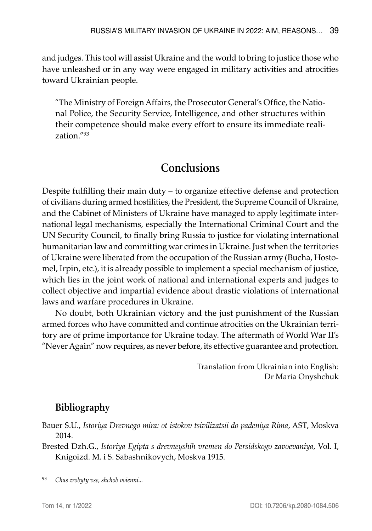and judges. This tool will assist Ukraine and the world to bring to justice those who have unleashed or in any way were engaged in military activities and atrocities toward Ukrainian people.

"The Ministry of Foreign Affairs, the Prosecutor General's Office, the National Police, the Security Service, Intelligence, and other structures within their competence should make every effort to ensure its immediate realization."93

## **Conclusions**

Despite fulfilling their main duty – to organize effective defense and protection of civilians during armed hostilities, the President, the Supreme Council of Ukraine, and the Cabinet of Ministers of Ukraine have managed to apply legitimate international legal mechanisms, especially the International Criminal Court and the UN Security Council, to finally bring Russia to justice for violating international humanitarian law and committing war crimes in Ukraine. Just when the territories of Ukraine were liberated from the occupation of the Russian army (Bucha, Hostomel, Irpin, etc.), it is already possible to implement a special mechanism of justice, which lies in the joint work of national and international experts and judges to collect objective and impartial evidence about drastic violations of international laws and warfare procedures in Ukraine.

No doubt, both Ukrainian victory and the just punishment of the Russian armed forces who have committed and continue atrocities on the Ukrainian territory are of prime importance for Ukraine today. The aftermath of World War II's "Never Again" now requires, as never before, its effective guarantee and protection.

> Translation from Ukrainian into English: Dr Maria Onyshchuk

## **Bibliography**

- Bauer S.U., *Istoriya Drevnego mira: ot istokov tsivilizatsii do padeniya Rima*, AST, Moskva 2014.
- Brested Dzh.G., *Istoriya Egipta s drevneyshih vremen do Persidskogo zavoevaniya*, Vol. I, Knigoizd. M. i S. Sabashnikovych, Moskva 1915.

<sup>93</sup> *Chas zrobyty vse, shchob voienni...*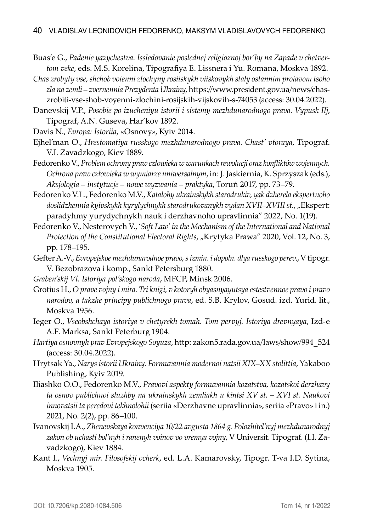- Buas'e G., *Padenie yazychestva. Issledovanie poslednej religioznoj bor'by na Zapade v chetvertom veke*, eds. M.S. Korelina, Tipografiya E. Lissnera i Yu. Romana, Moskva 1892.
- *Chas zrobyty vse, shchob voienni zlochyny rosiiskykh viiskovykh staly ostannim proiavom tsoho zla na zemli – zvernennia Prezydenta Ukrainy*, https://www.president.gov.ua/news/chaszrobiti-vse-shob-voyenni-zlochini-rosijskih-vijskovih-s-74053 (access: 30.04.2022).
- Danevskij V.P., *Posobie po izucheniyu istorii i sistemy mezhdunarodnogo prava. Vypusk IIj*, Tipograf, A.N. Guseva, Har'kov 1892.
- Davis N., *Evropa: Istoriia*, «Osnovy», Kyiv 2014.
- Ejhel'man O., *Hrestomatiya russkogo mezhdunarodnogo prava. Chast' vtoraya*, Tipograf. V.I. Zavadzkogo, Kiev 1889.
- Fedorenko V., *Problem ochrony praw człowieka w warunkach rewolucji oraz konfliktów wojennych. Ochrona praw człowieka w wymiarze uniwersalnym*, in: J. Jaskiernia, K. Sprzyszak (eds.), *Aksjologia – instytucje – nowe wyzwania – praktyka*, Toruń 2017, pp. 73–79.
- Fedorenko V.L., Fedorenko M.V., *Katalohy ukrainskykh starodrukiv, yak dzherela ekspertnoho doslidzhennia kyivskykh kyrylychnykh starodrukovanykh vydan XVII–XVIII st.*, "Ekspert: paradyhmy yurydychnykh nauk i derzhavnoho upravlinnia" 2022, No. 1(19).
- Fedorenko V., Nesterovych V., '*Soft Law' in the Mechanism of the International and National Protection of the Constitutional Electoral Rights*, "Krytyka Prawa" 2020, Vol. 12, No. 3, pp. 178–195.
- Gefter A.-V., *Evropejskoe mezhdunarodnoe pravo, s izmin. i dopoln. dlya russkogo perev*., V tipogr. V. Bezobrazova i komp., Sankt Petersburg 1880.
- *Graben'skij Vl. Istoriya pol'skogo naroda*, MFCP, Minsk 2006.
- Grotius H., *O prave vojny i mira. Tri knigi, v kotoryh obyasnyayutsya estestvennoe pravo i pravo narodov, a takzhe principy publichnogo prava*, ed. S.B. Krylov, Gosud. izd. Yurid. lit., Moskva 1956.
- Ieger O., *Vseobshchaya istoriya v chetyrekh tomah. Tom pervyj. Istoriya drevnyaya*, Izd-e A.F. Marksa, Sankt Peterburg 1904.
- *Hartiya osnovnyh prav Evropejskogo Soyuza*, http: zakon5.rada.gov.ua/laws/show/994\_524 (access: 30.04.2022).
- Hrytsak Ya., *Narys istorii Ukrainy. Formuvannia modernoi natsii XIX–XX stolittia*, Yakaboo Publishing, Kyiv 2019.
- Iliashko O.O., Fedorenko M.V., *Pravovi aspekty formuvannia kozatstva, kozatskoi derzhavy ta osnov publichnoi sluzhby na ukrainskykh zemliakh u kintsi XV st. – XVI st. Naukovi innovatsii ta peredovi tekhnolohii* (seriia «Derzhavne upravlinnia», seriia «Pravo» i in.) 2021, No. 2(2), pp. 86–100.
- Ivanovskij I.A., *Zhenevskaya konvenciya 10/22 avgusta 1864 g. Polozhitel'nyj mezhdunarodnyj zakon ob uchasti bol'nyh i ranenyh voinov vo vremya vojny*, V Universit. Tipograf. (I.I. Zavadzkogo), Kiev 1884.
- Kant I., *Vechnyj mir. Filosofskij ocherk*, ed. L.A. Kamarovsky, Tipogr. T-va I.D. Sytina, Moskva 1905.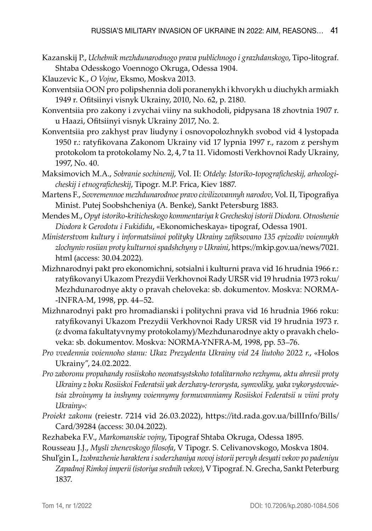- Kazanskij P., *Uchebnik mezhdunarodnogo prava publichnogo i grazhdanskogo*, Tipo-litograf. Shtaba Odesskogo Voennogo Okruga, Odessa 1904.
- Klauzevic K., *O Vojne*, Eksmo, Moskva 2013.
- Konventsiia OON pro polipshennia doli poranenykh i khvorykh u diuchykh armiakh 1949 r. Ofitsiinyi visnyk Ukrainy, 2010, No. 62, p. 2180.
- Konventsiia pro zakony i zvychai viiny na sukhodoli, pidpysana 18 zhovtnia 1907 r. u Haazi, Ofitsiinyi visnyk Ukrainy 2017, No. 2.
- Konventsiia pro zakhyst prav liudyny i osnovopolozhnykh svobod vid 4 lystopada 1950 r.: ratyfikovana Zakonom Ukrainy vid 17 lypnia 1997 r., razom z pershym protokolom ta protokolamy No. 2, 4, 7 ta 11. Vidomosti Verkhovnoi Rady Ukrainy, 1997, No. 40.
- Maksimovich M.A., *Sobranie sochinenij*, Vol. II: *Otdely: Istoriko-topograficheskij, arheologicheskij i etnograficheskij*, Tipogr. M.P. Frica, Kiev 1887.
- Martens F., *Sovremennoe mezhdunarodnoe pravo civilizovannyh narodov*, Vol. II, Tipografiya Minist. Putej Soobshcheniya (A. Benke), Sankt Petersburg 1883.
- Mendes M., *Opyt istoriko-kriticheskogo kommentariya k Grecheskoj istorii Diodora. Otnoshenie Diodora k Gerodotu i Fukididu*, «Ekonomicheskaya» tipograf, Odessa 1901.
- *Ministerstvom kultury i informatsiinoi polityky Ukrainy zafiksovano 135 epizodiv voiennykh zlochyniv rosiian proty kulturnoi spadshchyny v Ukraini*, https://mkip.gov.ua/news/7021. html (access: 30.04.2022).
- Mizhnarodnyi pakt pro ekonomichni, sotsialni i kulturni prava vid 16 hrudnia 1966 r.: ratyfikovanyi Ukazom Prezydii Verkhovnoi Rady URSR vid 19 hrudnia 1973 roku/ Mezhdunarodnye akty o pravah cheloveka: sb. dokumentov. Moskva: NORMA- -INFRA-M, 1998, pp. 44–52.
- Mizhnarodnyi pakt pro hromadianski i politychni prava vid 16 hrudnia 1966 roku: ratyfikovanyi Ukazom Prezydii Verkhovnoi Rady URSR vid 19 hrudnia 1973 r. (z dvoma fakultatyvnymy protokolamy)/Mezhdunarodnye akty o pravakh cheloveka: sb. dokumentov. Moskva: NORMA-YNFRA-M, 1998, pp. 53–76.
- *Pro vvedennia voiennoho stanu: Ukaz Prezydenta Ukrainy vid 24 liutoho 2022 r*., «Holos Ukrainy", 24.02.2022.
- *Pro zaboronu propahandy rosiiskoho neonatsystskoho totalitarnoho rezhymu, aktu ahresii proty Ukrainy z boku Rosiiskoi Federatsii yak derzhavy-terorysta, symvoliky, yaka vykorystovuietsia zbroinymy ta inshymy voiennymy formuvanniamy Rosiiskoi Federatsii u viini proty Ukrainy»:*
- *Proiekt zakonu* (reiestr. 7214 vid 26.03.2022), https://itd.rada.gov.ua/billInfo/Bills/ Card/39284 (access: 30.04.2022).
- Rezhabeka F.V., *Markomanskie vojny*, Tipograf Shtaba Okruga, Odessa 1895.
- Rousseau J.J., *Mysli zhenevskogo filosofa*, V Tipogr. S. Celivanovskogo, Moskva 1804.
- Shul'gin I., *Izobrazhenie haraktera i soderzhaniya novoj istorii pervyh desyati vekov po padeniyu Zapadnoj Rimkoj imperii (istoriya srednih vekov)*, V Tipograf. N. Grecha, Sankt Peterburg 1837.